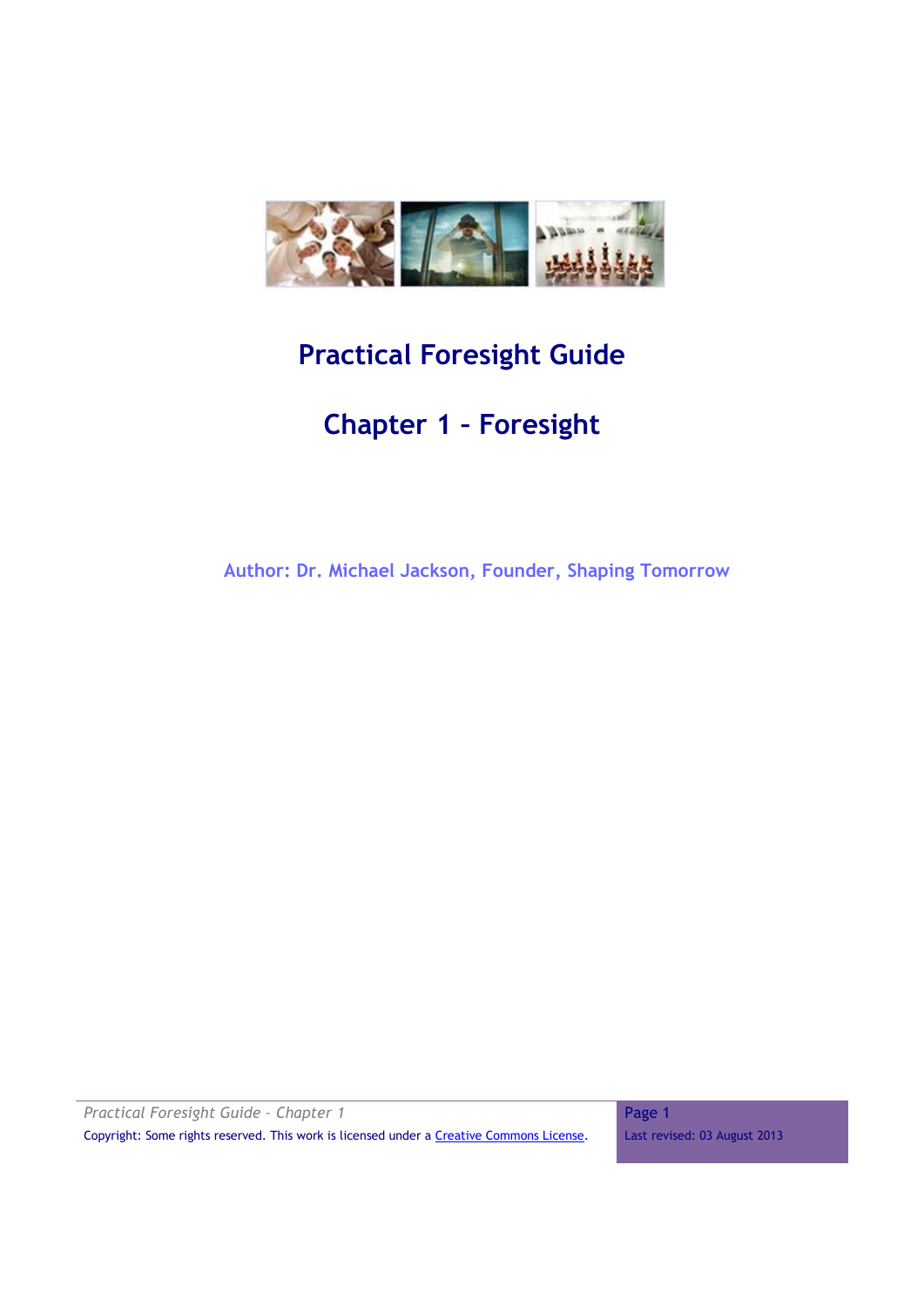

# **Practical Foresight Guide**

# **Chapter 1 – Foresight**

 **Author: Dr. Michael Jackson, Founder, Shaping Tomorrow**

*Practical Foresight Guide – Chapter 1* Copyright: Some rights reserved. This work is licensed under a Creative Commons License. Page 1 Last revised: 03 August 2013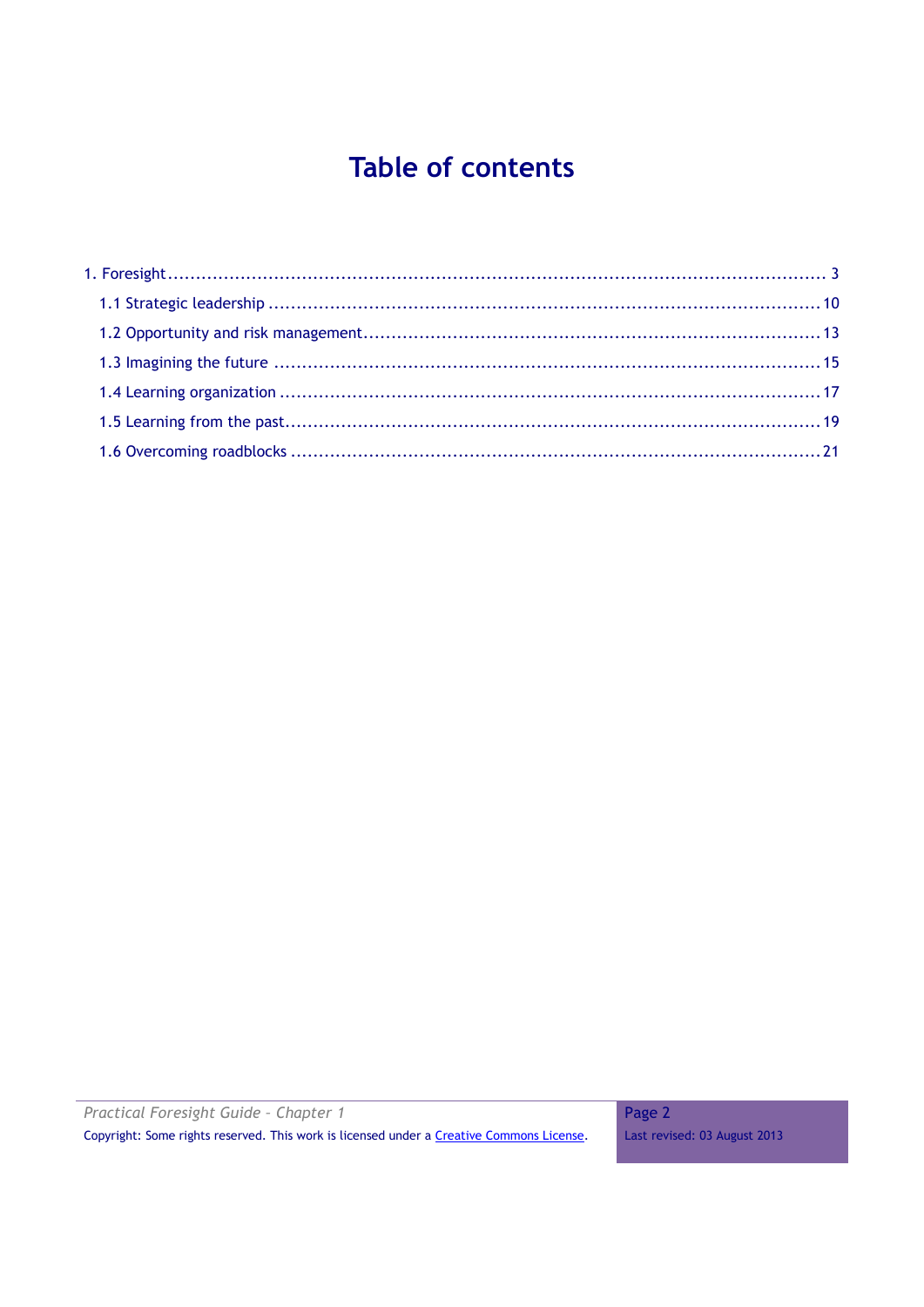# **Table of contents**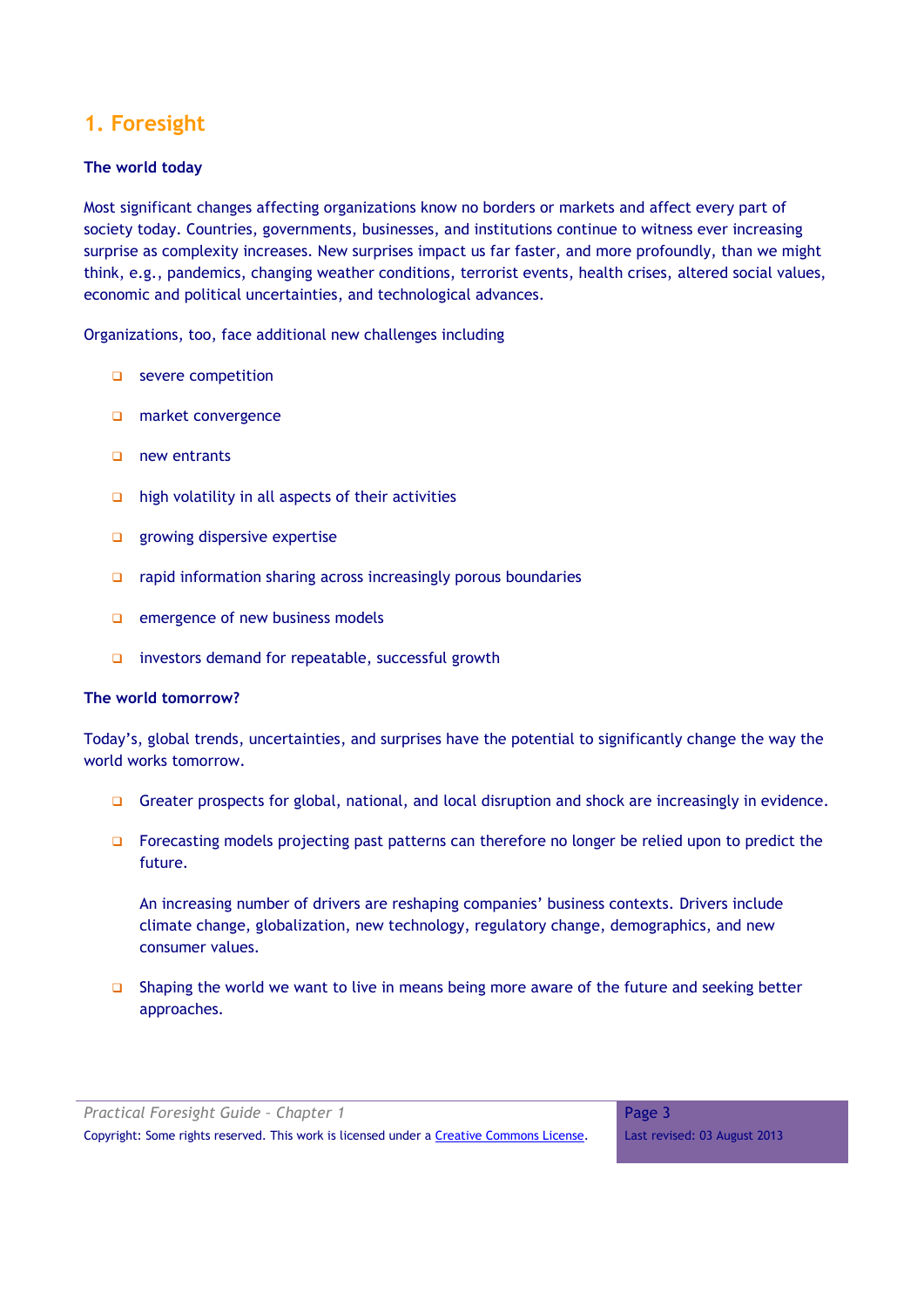# <span id="page-2-0"></span>**1. Foresight**

# **The world today**

Most significant changes affecting organizations know no borders or markets and affect every part of society today. Countries, governments, businesses, and institutions continue to witness ever increasing surprise as complexity increases. New surprises impact us far faster, and more profoundly, than we might think, e.g., pandemics, changing weather conditions, terrorist events, health crises, altered social values, economic and political uncertainties, and technological advances.

Organizations, too, face additional new challenges including

- severe competition
- market convergence
- new entrants
- $\Box$  high volatility in all aspects of their activities
- **growing dispersive expertise**
- $\Box$  rapid information sharing across increasingly porous boundaries
- $\Box$  emergence of new business models
- **D** investors demand for repeatable, successful growth

#### **The world tomorrow?**

Today's, global trends, uncertainties, and surprises have the potential to significantly change the way the world works tomorrow.

- Greater prospects for global, national, and local disruption and shock are increasingly in evidence.
- $\Box$  Forecasting models projecting past patterns can therefore no longer be relied upon to predict the future.

An increasing number of drivers are reshaping companies' business contexts. Drivers include climate change, globalization, new technology, regulatory change, demographics, and new consumer values.

 $\square$  Shaping the world we want to live in means being more aware of the future and seeking better approaches.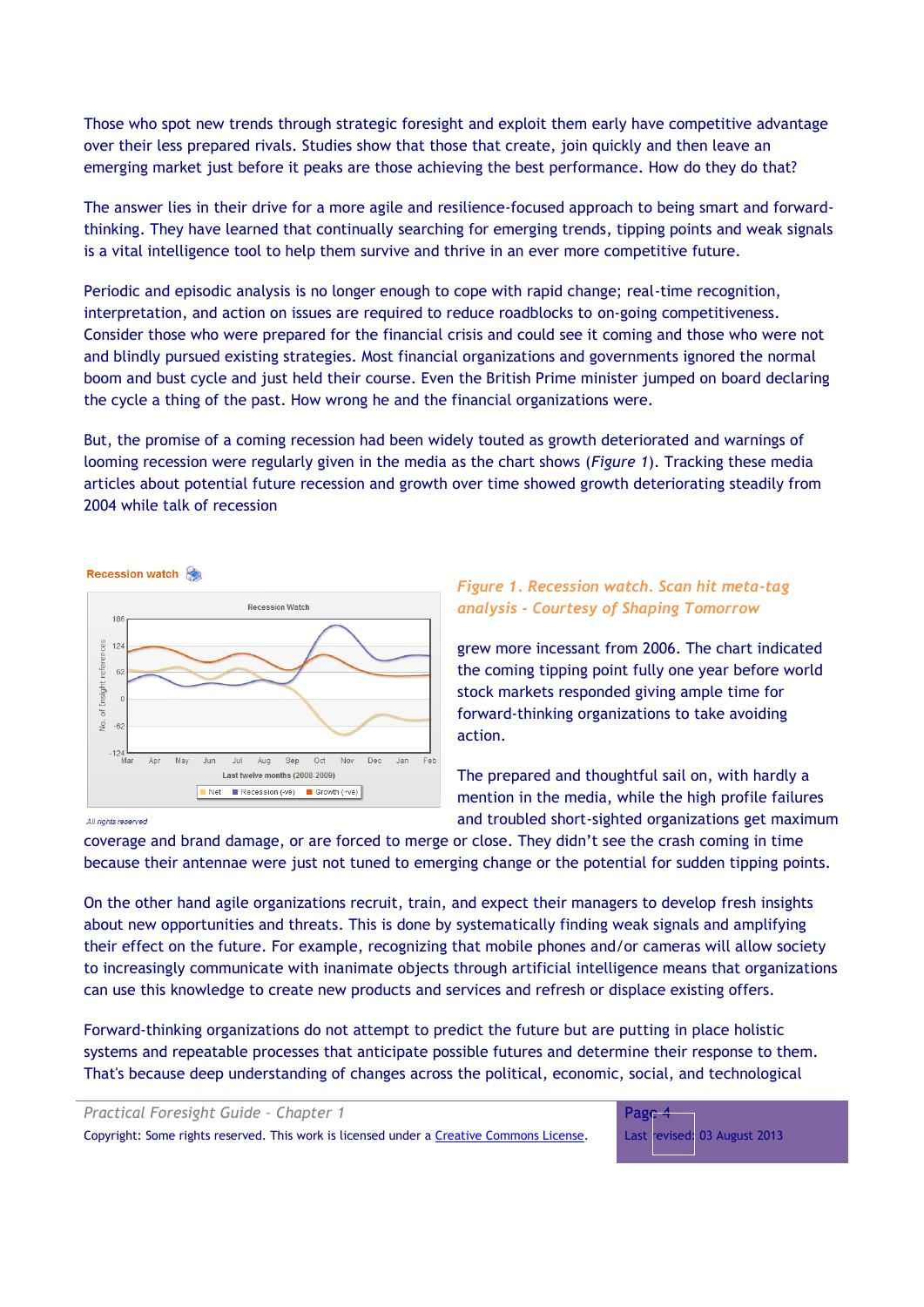Those who spot new trends through strategic foresight and exploit them early have competitive advantage over their less prepared rivals. Studies show that those that create, join quickly and then leave an emerging market just before it peaks are those achieving the best performance. How do they do that?

The answer lies in their drive for a more agile and resilience-focused approach to being smart and forwardthinking. They have learned that continually searching for emerging trends, tipping points and weak signals is a vital intelligence tool to help them survive and thrive in an ever more competitive future.

Periodic and episodic analysis is no longer enough to cope with rapid change; real-time recognition, interpretation, and action on issues are required to reduce roadblocks to on-going competitiveness. Consider those who were prepared for the financial crisis and could see it coming and those who were not and blindly pursued existing strategies. Most financial organizations and governments ignored the normal boom and bust cycle and just held their course. Even the British Prime minister jumped on board declaring the cycle a thing of the past. How wrong he and the financial organizations were.

But, the promise of a coming recession had been widely touted as growth deteriorated and warnings of looming recession were regularly given in the media as the chart shows (*Figure 1*). Tracking these media articles about potential future recession and growth over time showed growth deteriorating steadily from 2004 while talk of recession





# *Figure 1. Recession watch. Scan hit meta-tag analysis - Courtesy of Shaping Tomorrow*

grew more incessant from 2006. The chart indicated the coming tipping point fully one year before world stock markets responded giving ample time for forward-thinking organizations to take avoiding action.

The prepared and thoughtful sail on, with hardly a mention in the media, while the high profile failures and troubled short-sighted organizations get maximum

#### All rights reserved

coverage and brand damage, or are forced to merge or close. They didn't see the crash coming in time because their antennae were just not tuned to emerging change or the potential for sudden tipping points.

On the other hand agile organizations recruit, train, and expect their managers to develop fresh insights about new opportunities and threats. This is done by systematically finding weak signals and amplifying their effect on the future. For example, recognizing that mobile phones and/or cameras will allow society to increasingly communicate with inanimate objects through artificial intelligence means that organizations can use this knowledge to create new products and services and refresh or displace existing offers.

Forward-thinking organizations do not attempt to predict the future but are putting in place holistic systems and repeatable processes that anticipate possible futures and determine their response to them. That's because deep understanding of changes across the political, economic, social, and technological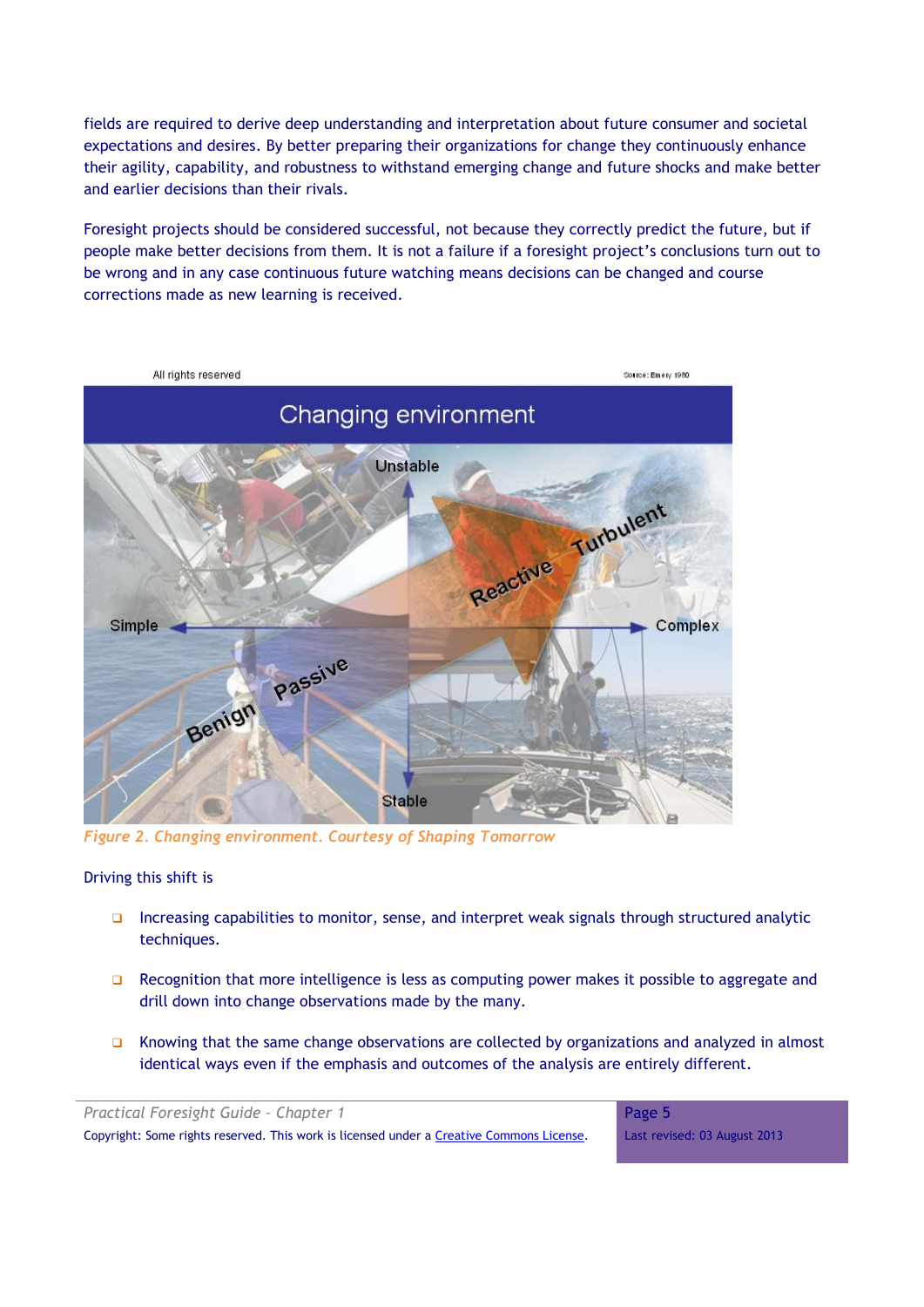fields are required to derive deep understanding and interpretation about future consumer and societal expectations and desires. By better preparing their organizations for change they continuously enhance their agility, capability, and robustness to withstand emerging change and future shocks and make better and earlier decisions than their rivals.

Foresight projects should be considered successful, not because they correctly predict the future, but if people make better decisions from them. It is not a failure if a foresight project's conclusions turn out to be wrong and in any case continuous future watching means decisions can be changed and course corrections made as new learning is received.



*Figure 2. Changing environment. Courtesy of Shaping Tomorrow*

#### Driving this shift is

- Increasing capabilities to monitor, sense, and interpret weak signals through structured analytic techniques.
- **Q** Recognition that more intelligence is less as computing power makes it possible to aggregate and drill down into change observations made by the many.
- **EXECUTE:** Knowing that the same change observations are collected by organizations and analyzed in almost identical ways even if the emphasis and outcomes of the analysis are entirely different.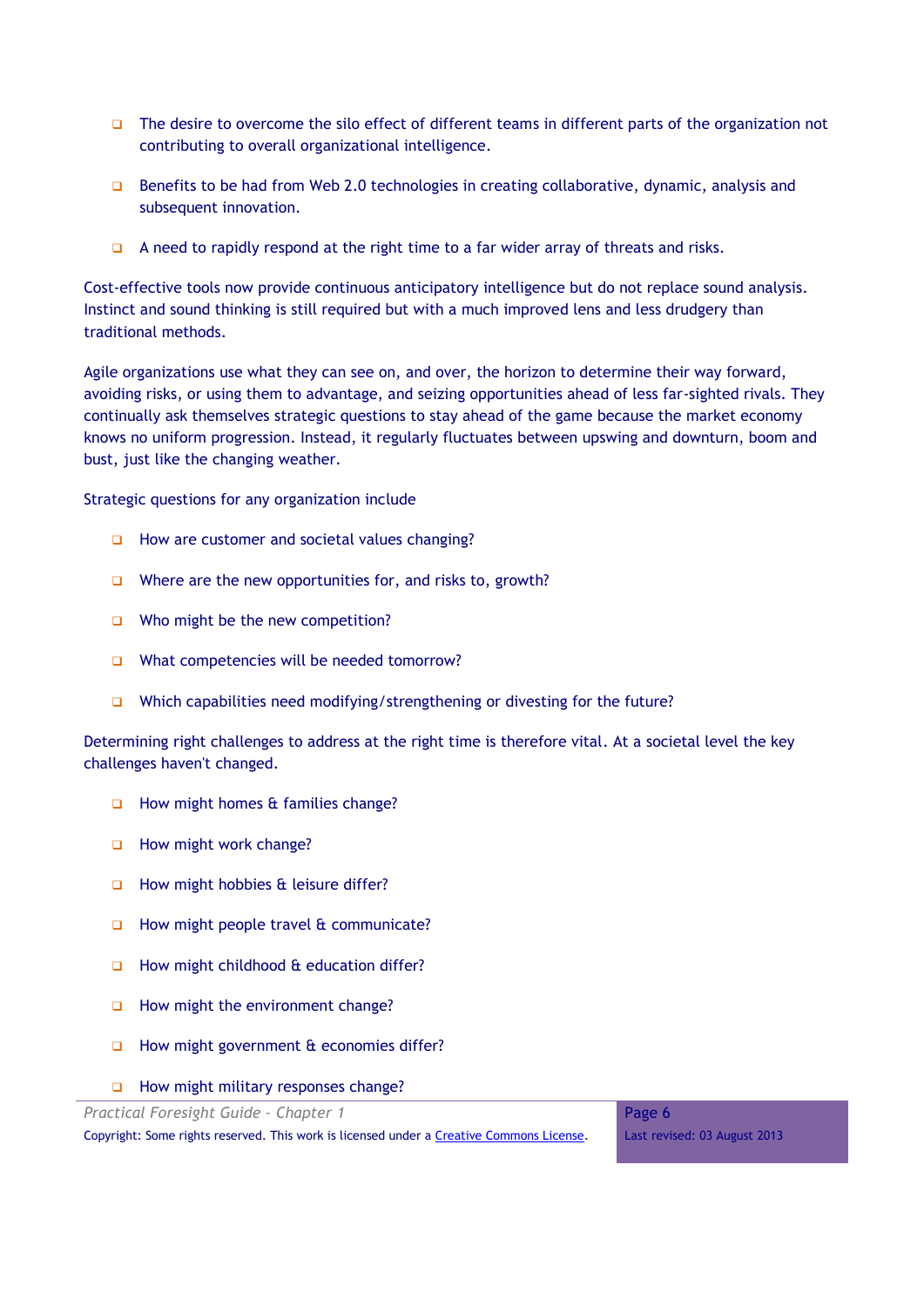- The desire to overcome the silo effect of different teams in different parts of the organization not contributing to overall organizational intelligence.
- **Benefits to be had from Web 2.0 technologies in creating collaborative, dynamic, analysis and** subsequent innovation.
- $\Box$  A need to rapidly respond at the right time to a far wider array of threats and risks.

Cost-effective tools now provide continuous anticipatory intelligence but do not replace sound analysis. Instinct and sound thinking is still required but with a much improved lens and less drudgery than traditional methods.

Agile organizations use what they can see on, and over, the horizon to determine their way forward, avoiding risks, or using them to advantage, and seizing opportunities ahead of less far-sighted rivals. They continually ask themselves strategic questions to stay ahead of the game because the market economy knows no uniform progression. Instead, it regularly fluctuates between upswing and downturn, boom and bust, just like the changing weather.

Strategic questions for any organization include

- $\Box$  How are customer and societal values changing?
- Where are the new opportunities for, and risks to, growth?
- $\Box$  Who might be the new competition?
- □ What competencies will be needed tomorrow?
- Which capabilities need modifying/strengthening or divesting for the future?

Determining right challenges to address at the right time is therefore vital. At a societal level the key challenges haven't changed.

- $\Box$  How might homes  $\&$  families change?
- How might work change?
- $\Box$  How might hobbies & leisure differ?
- How might people travel & communicate?
- $\Box$  How might childhood  $\&$  education differ?
- $\Box$  How might the environment change?
- How might government & economies differ?
- $\Box$  How might military responses change?

*Practical Foresight Guide – Chapter 1*

Copyright: Some rights reserved. This work is licensed under a Creative Commons License.

Page 6 Last revised: 03 August 2013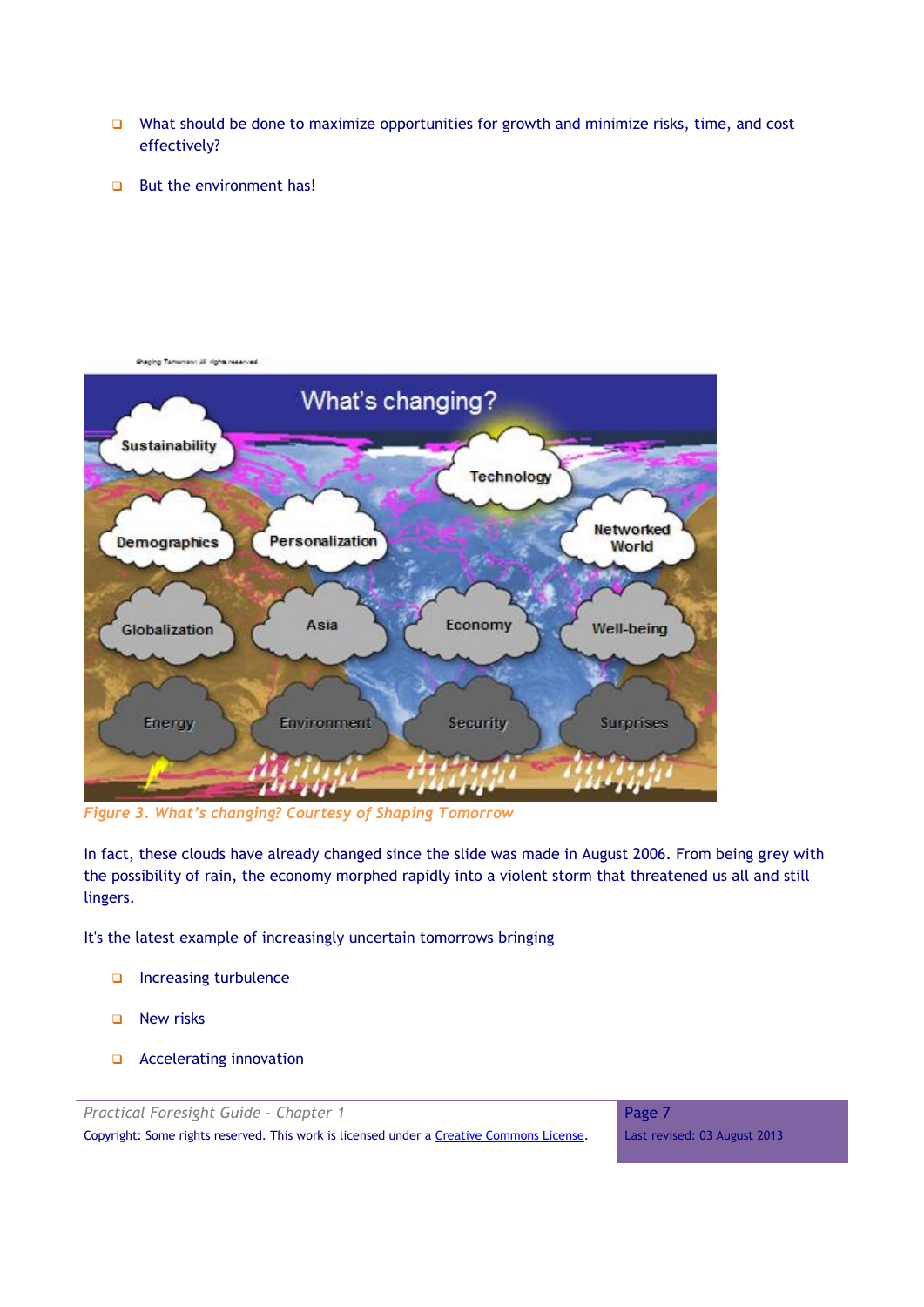- What should be done to maximize opportunities for growth and minimize risks, time, and cost effectively?
- $\Box$  But the environment has!



*Figure 3. What's changing? Courtesy of Shaping Tomorrow*

In fact, these clouds have already changed since the slide was made in August 2006. From being grey with the possibility of rain, the economy morphed rapidly into a violent storm that threatened us all and still lingers.

It's the latest example of increasingly uncertain tomorrows bringing

- Increasing turbulence
- □ New risks
- **a** Accelerating innovation

*Practical Foresight Guide – Chapter 1* Copyright: Some rights reserved. This work is licensed under a Creative Commons License. Page 7

Last revised: 03 August 2013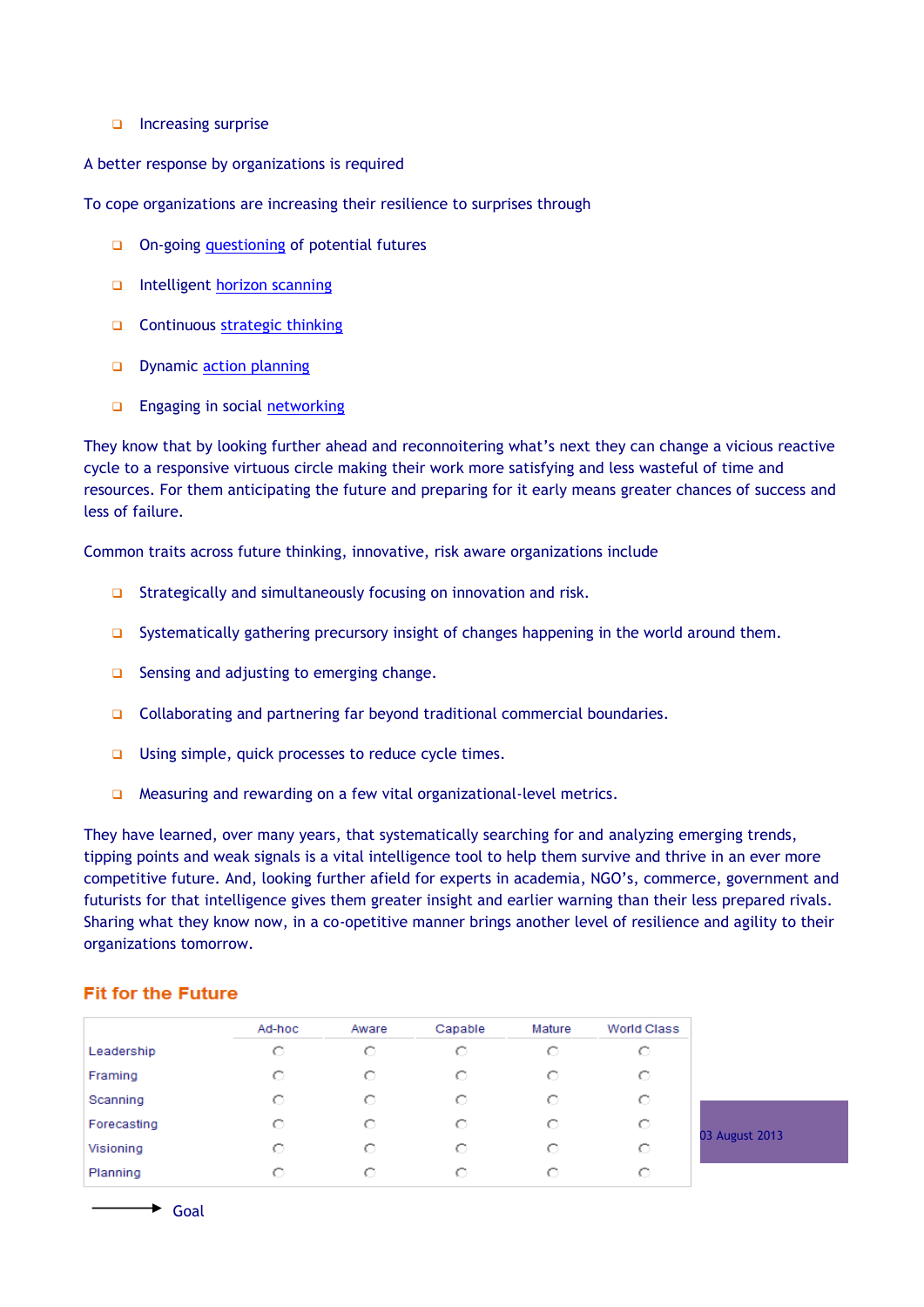#### Increasing surprise

A better response by organizations is required

To cope organizations are increasing their resilience to surprises through

- □ On-going [questioning](http://www.shapingtomorrow.com/projects.cfm) of potential futures
- Intelligent [horizon scanning](http://www.shapingtomorrow.com/insights.cfm)
- **Q** Continuous [strategic thinking](http://www.shapingtomorrow.com/trends.cfm)
- Dynamic [action planning](http://www.shapingtomorrow.com/trends.cfm?reports=1&mytrends=1)
- **Engaging in social [networking](http://www.shapingtomorrow.com/content.cfm?webtext=318)**

They know that by looking further ahead and reconnoitering what's next they can change a vicious reactive cycle to a responsive virtuous circle making their work more satisfying and less wasteful of time and resources. For them anticipating the future and preparing for it early means greater chances of success and less of failure.

Common traits across future thinking, innovative, risk aware organizations include

- $\Box$  Strategically and simultaneously focusing on innovation and risk.
- $\Box$  Systematically gathering precursory insight of changes happening in the world around them.
- $\Box$  Sensing and adjusting to emerging change.
- Collaborating and partnering far beyond traditional commercial boundaries.
- □ Using simple, quick processes to reduce cycle times.
- □ Measuring and rewarding on a few vital organizational-level metrics.

They have learned, over many years, that systematically searching for and analyzing emerging trends, tipping points and weak signals is a vital intelligence tool to help them survive and thrive in an ever more competitive future. And, looking further afield for experts in academia, NGO's, commerce, government and futurists for that intelligence gives them greater insight and earlier warning than their less prepared rivals. Sharing what they know now, in a co-opetitive manner brings another level of resilience and agility to their organizations tomorrow.

03 August 2013

#### **Fit for the Future**

|             | Ad-hoc | Aware | Capable | Mature | World Class |
|-------------|--------|-------|---------|--------|-------------|
| Leadership  | O      | O     | O       | O      | O           |
| Framing     | О      | О     | O       | O      | О           |
| Scanning    | О      | O     | O       | O      | O           |
| Forecasting | О      | O     | O       | O      | O           |
| Visioning   | O      | O     | O       | O      | O           |
| Planning    | O      | O     | O       | O      | О           |

 $\rightarrow$  Goal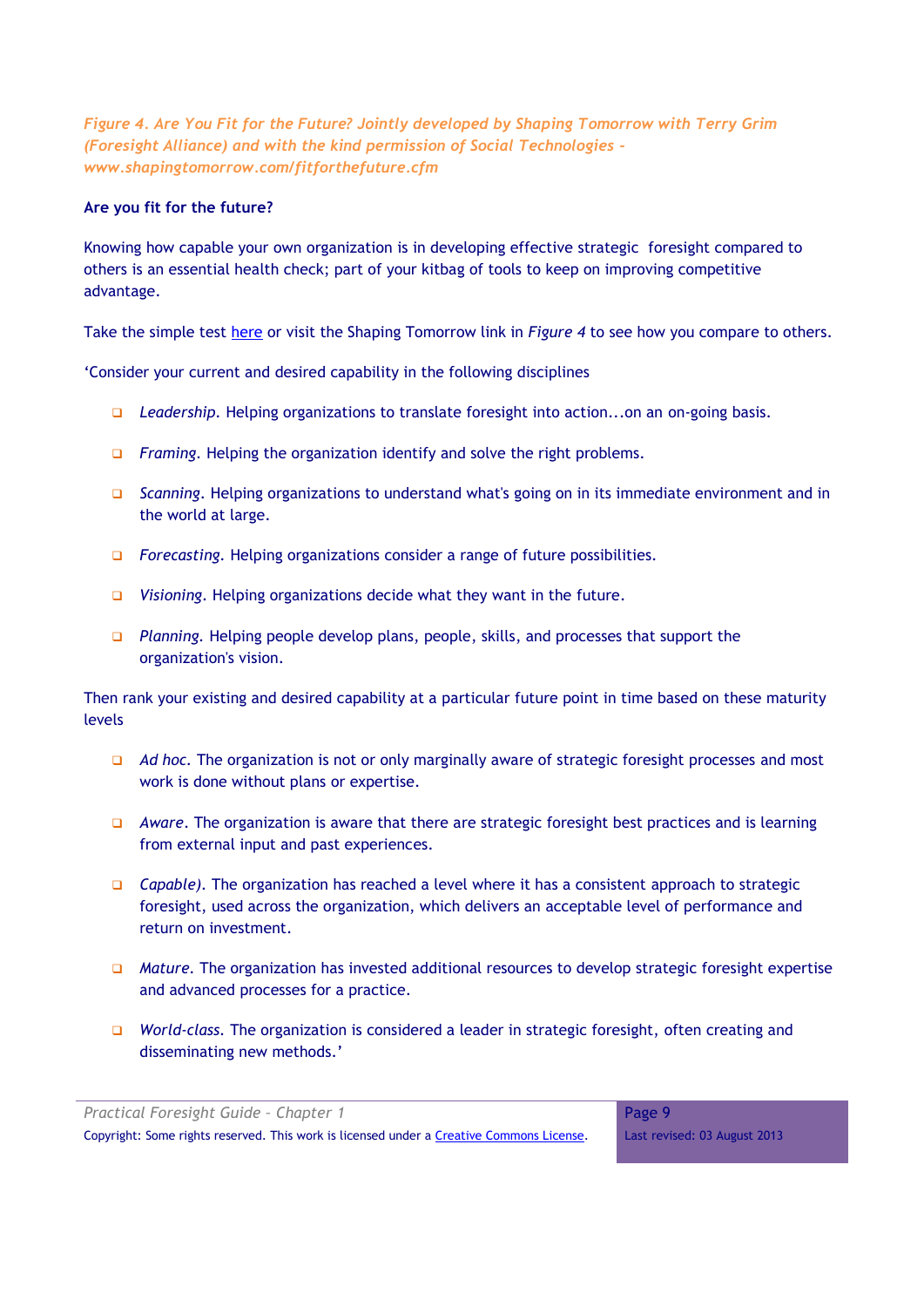*Figure 4. Are You Fit for the Future? Jointly developed by Shaping Tomorrow with Terry Grim (Foresight Alliance) and with the kind permission of Social Technologies [www.shapingtomorrow.com/fitforthefuture.cfm](file:///C:/Users/Mike/Downloads/www.shapingtomorrow.com/fitforthefuture.cfm)*

### **Are you fit for the future?**

Knowing how capable your own organization is in developing effective strategic foresight compared to others is an essential health check; part of your kitbag of tools to keep on improving competitive advantage.

Take the simple test [here](http://www.shapingtomorrow.com/fitforthefuture.cfm) or visit the Shaping Tomorrow link in *Figure 4* to see how you compare to others.

'Consider your current and desired capability in the following disciplines

- *Leadership.* Helping organizations to translate foresight into action...on an on-going basis.
- **Framing.** Helping the organization identify and solve the right problems.
- *Scanning.* Helping organizations to understand what's going on in its immediate environment and in the world at large.
- **Forecasting.** Helping organizations consider a range of future possibilities.
- *Visioning.* Helping organizations decide what they want in the future.
- *Planning.* Helping people develop plans, people, skills, and processes that support the organization's vision.

Then rank your existing and desired capability at a particular future point in time based on these maturity levels

- *Ad hoc.* The organization is not or only marginally aware of strategic foresight processes and most work is done without plans or expertise.
- *Aware*. The organization is aware that there are strategic foresight best practices and is learning from external input and past experiences.
- *Capable).* The organization has reached a level where it has a consistent approach to strategic foresight, used across the organization, which delivers an acceptable level of performance and return on investment.
- *Mature.* The organization has invested additional resources to develop strategic foresight expertise and advanced processes for a practice.
- *World-class.* The organization is considered a leader in strategic foresight, often creating and disseminating new methods.'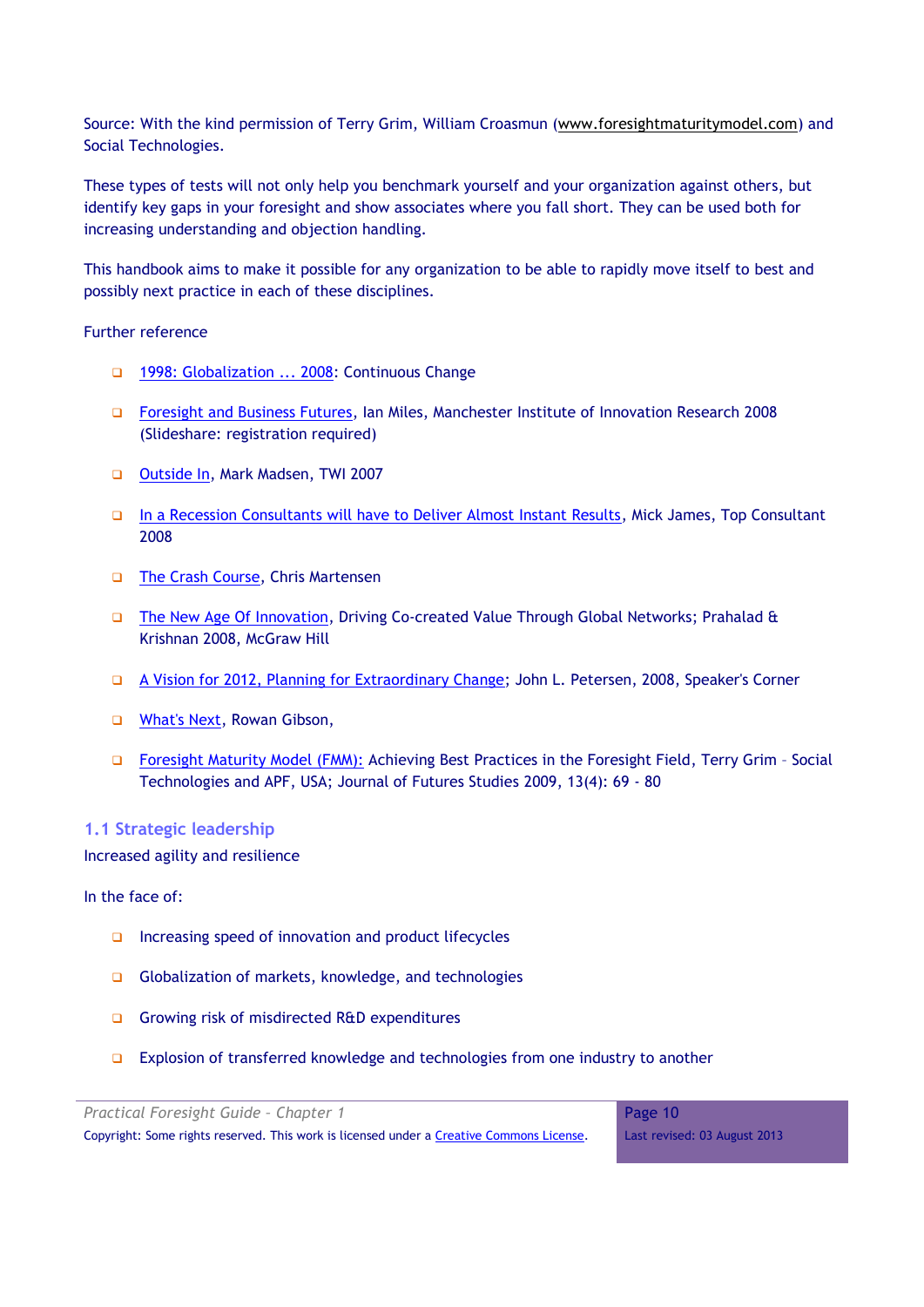Source: With the kind permission of Terry Grim, William Croasmun [\(www.foresightmaturitymodel.com\)](http://www.foresightmaturitymodel.com/) and Social Technologies.

These types of tests will not only help you benchmark yourself and your organization against others, but identify key gaps in your foresight and show associates where you fall short. They can be used both for increasing understanding and objection handling.

This handbook aims to make it possible for any organization to be able to rapidly move itself to best and possibly next practice in each of these disciplines.

# Further reference

- [1998: Globalization ... 2008:](http://www.myexpospace.com/OracleDemogrounds2008/PDFDOCLIB/02-PM-09-0167_TFQ-1_01__Globalization_v2(w).pdf) Continuous Change
- [Foresight and Business Futures,](http://public.slideshare.net/IanMiles/corporate-foresight-an-introduction/) Ian Miles, Manchester Institute of Innovation Research 2008 (Slideshare: registration required)
- [Outside In,](http://public.slideshare.net/mrm0/tdwi-keynote-outside-in-the-future-of-business-intelligence-innovation/) Mark Madsen, TWI 2007
- [In a Recession Consultants will have to Deliver Almost Instant Results,](http://shapingtomorrowmain.ning.com/profiles/blogs/in-a-recession-consultants) Mick James, Top Consultant 2008
- [The Crash Course,](http://www.chrismartenson.com/crashcourse) Chris Martensen
- [The New Age Of Innovation,](http://www.amazon.com/New-Age-Innovation-Cocreated-Networks/dp/0071598286) Driving Co-created Value Through Global Networks; Prahalad & Krishnan 2008, McGraw Hill
- [A Vision for 2012, Planning for Extraordinary Change;](http://www.amazon.co.uk/Vision-2012-Planning-Extraordinary-Change/dp/1555916619) John L. Petersen, 2008, Speaker's Corner
- □ [What's Next,](http://www.business-strategy-innovation.com/2009/08/what-next.html) Rowan Gibson,
- [Foresight Maturity Model \(FMM\):](http://www.jfs.tku.edu.tw/13-4/AE05.pdf) Achieving Best Practices in the Foresight Field, Terry Grim Social Technologies and APF, USA; Journal of Futures Studies 2009, 13(4): 69 - 80

## <span id="page-9-0"></span>**1.1 Strategic leadership**

#### Increased agility and resilience

In the face of:

- $\Box$  Increasing speed of innovation and product lifecycles
- Globalization of markets, knowledge, and technologies
- Growing risk of misdirected R&D expenditures
- **Explosion of transferred knowledge and technologies from one industry to another**

*Practical Foresight Guide – Chapter 1* Copyright: Some rights reserved. This work is licensed under a Creative Commons License.

Page 10 Last revised: 03 August 2013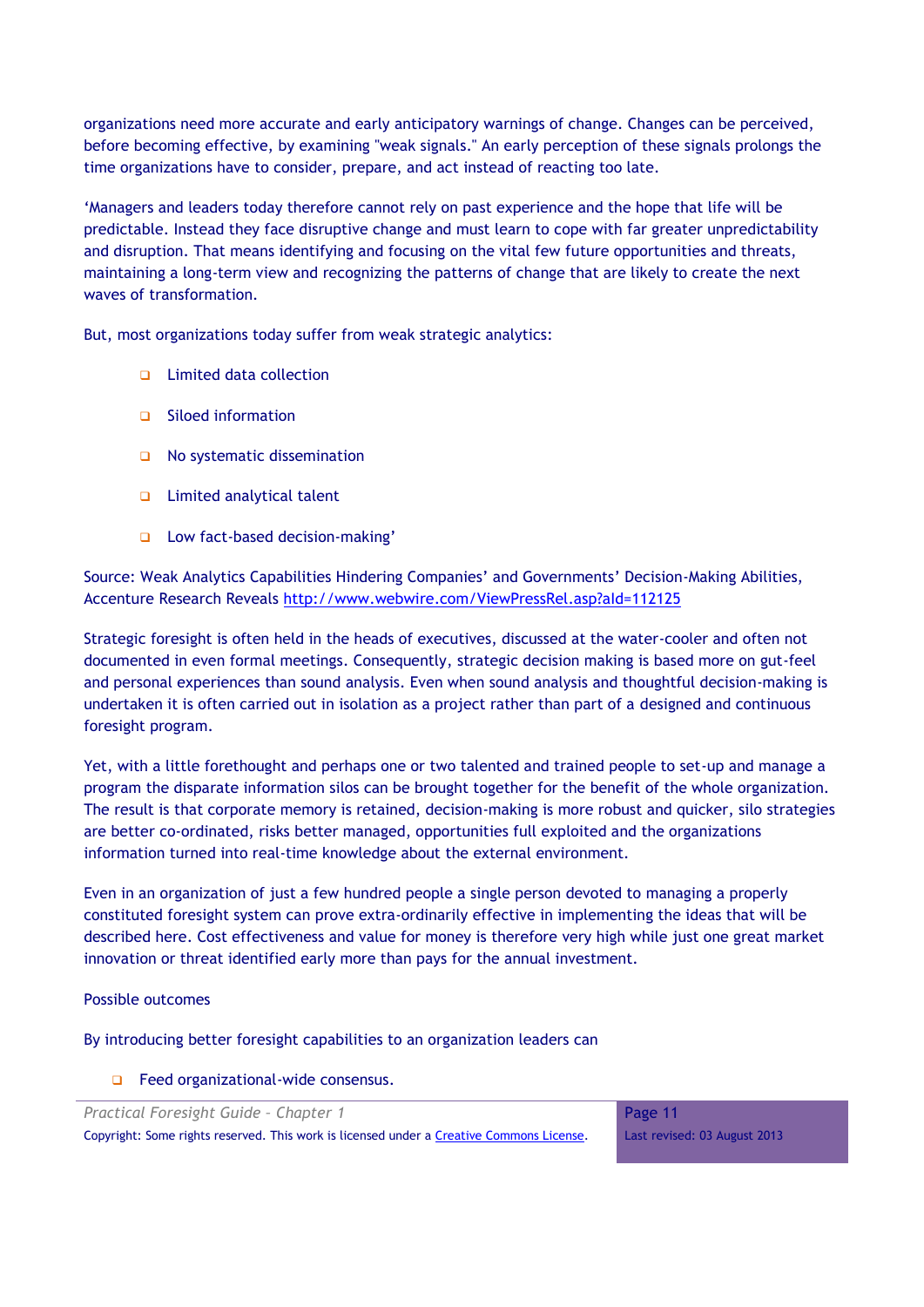organizations need more accurate and early anticipatory warnings of change. Changes can be perceived, before becoming effective, by examining "weak signals." An early perception of these signals prolongs the time organizations have to consider, prepare, and act instead of reacting too late.

'Managers and leaders today therefore cannot rely on past experience and the hope that life will be predictable. Instead they face disruptive change and must learn to cope with far greater unpredictability and disruption. That means identifying and focusing on the vital few future opportunities and threats, maintaining a long-term view and recognizing the patterns of change that are likely to create the next waves of transformation.

But, most organizations today suffer from weak strategic analytics:

- □ Limited data collection
- □ Siloed information
- □ No systematic dissemination
- Limited analytical talent
- **Low fact-based decision-making'**

Source: Weak Analytics Capabilities Hindering Companies' and Governments' Decision-Making Abilities, Accenture Research Reveals <http://www.webwire.com/ViewPressRel.asp?aId=112125>

Strategic foresight is often held in the heads of executives, discussed at the water-cooler and often not documented in even formal meetings. Consequently, strategic decision making is based more on gut-feel and personal experiences than sound analysis. Even when sound analysis and thoughtful decision-making is undertaken it is often carried out in isolation as a project rather than part of a designed and continuous foresight program.

Yet, with a little forethought and perhaps one or two talented and trained people to set-up and manage a program the disparate information silos can be brought together for the benefit of the whole organization. The result is that corporate memory is retained, decision-making is more robust and quicker, silo strategies are better co-ordinated, risks better managed, opportunities full exploited and the organizations information turned into real-time knowledge about the external environment.

Even in an organization of just a few hundred people a single person devoted to managing a properly constituted foresight system can prove extra-ordinarily effective in implementing the ideas that will be described here. Cost effectiveness and value for money is therefore very high while just one great market innovation or threat identified early more than pays for the annual investment.

### Possible outcomes

By introducing better foresight capabilities to an organization leaders can

G Feed organizational-wide consensus.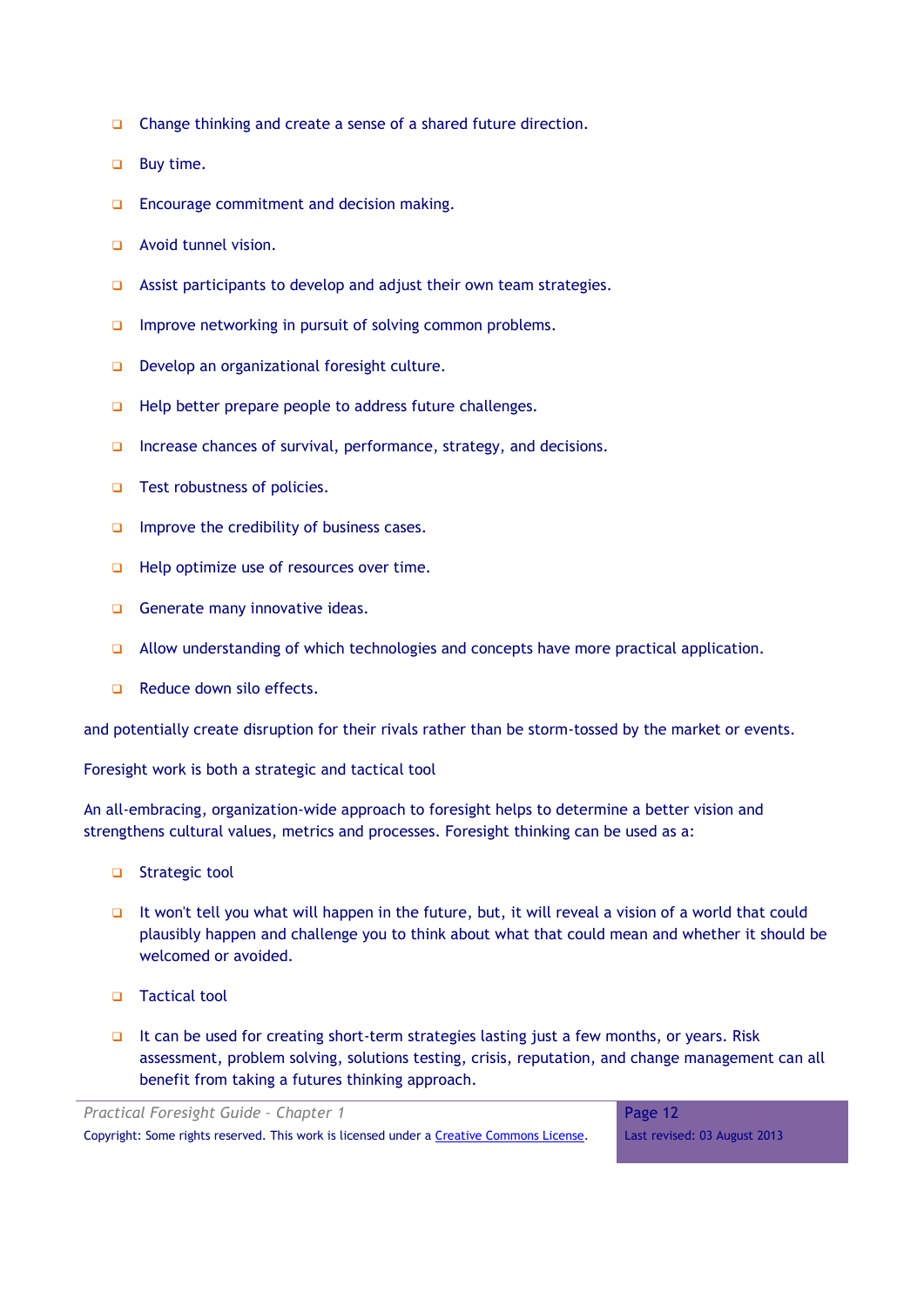- Change thinking and create a sense of a shared future direction.
- □ Buy time.
- **Encourage commitment and decision making.**
- Avoid tunnel vision.
- $\Box$  Assist participants to develop and adjust their own team strategies.
- $\Box$  Improve networking in pursuit of solving common problems.
- Develop an organizational foresight culture.
- $\Box$  Help better prepare people to address future challenges.
- $\Box$  Increase chances of survival, performance, strategy, and decisions.
- □ Test robustness of policies.
- Improve the credibility of business cases.
- $\Box$  Help optimize use of resources over time.
- Generate many innovative ideas.
- Allow understanding of which technologies and concepts have more practical application.
- Reduce down silo effects.

and potentially create disruption for their rivals rather than be storm-tossed by the market or events.

Foresight work is both a strategic and tactical tool

An all-embracing, organization-wide approach to foresight helps to determine a better vision and strengthens cultural values, metrics and processes. Foresight thinking can be used as a:

- □ Strategic tool
- It won't tell you what will happen in the future, but, it will reveal a vision of a world that could plausibly happen and challenge you to think about what that could mean and whether it should be welcomed or avoided.
- □ Tactical tool
- It can be used for creating short-term strategies lasting just a few months, or years. Risk assessment, problem solving, solutions testing, crisis, reputation, and change management can all benefit from taking a futures thinking approach.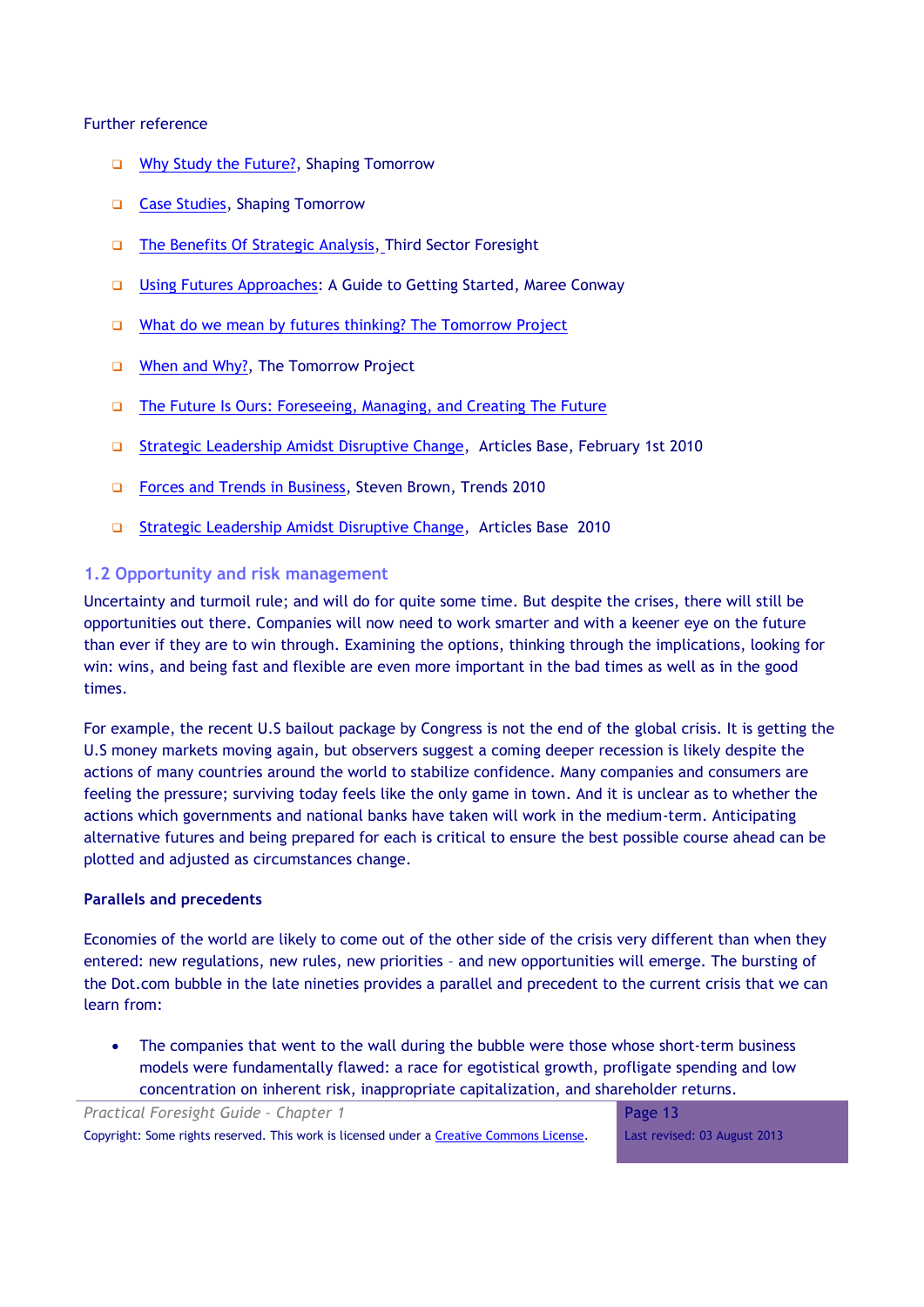#### Further reference

- [Why Study the Future?,](http://www.shapingtomorrow.com/insights.cfm?st=932&mid=13) Shaping Tomorrow
- [Case Studies,](http://www.shapingtomorrow.com/insights.cfm?st=936&mid=13) Shaping Tomorrow
- [The Benefits Of Strategic Analysis,](http://www.3s4.org.uk/start/benefits-of-strategic-analysis) Third Sector Foresight
- [Using Futures Approaches:](http://mareeconway.com/thinkingfutures/resources/building-strategic-futures-guides/guide1/) A Guide to Getting Started, Maree Conway
- □ [What do we mean by futures thinking?](http://www.tomorrowproject.net/index.shtml?page=futures#2) The Tomorrow Project
- [When and Why?,](http://www.tomorrowproject.net/?id=-1335) The Tomorrow Project
- [The Future Is Ours: Foreseeing, Managing, and Creating The Future](http://www.amazon.com/Future-Ours-Foreseeing-Managing-Creating/dp/0275956792)
- [Strategic Leadership Amidst Disruptive Change,](http://www.articlesbase.com/self-improvement-articles/strategic-leadership-amidst-disruptive-change-1805381.html) Articles Base, February 1st 2010
- [Forces and Trends in Business,](http://ezinearticles.com/?Forces-and-Trends-in-Business&id=708724) Steven Brown, Trends 2010
- [Strategic Leadership Amidst Disruptive Change,](http://www.articlesbase.com/article-tags/strategic-leadership) Articles Base 2010

# <span id="page-12-0"></span>**1.2 Opportunity and risk management**

Uncertainty and turmoil rule; and will do for quite some time. But despite the crises, there will still be opportunities out there. Companies will now need to work smarter and with a keener eye on the future than ever if they are to win through. Examining the options, thinking through the implications, looking for win: wins, and being fast and flexible are even more important in the bad times as well as in the good times.

For example, the recent U.S bailout package by Congress is not the end of the global crisis. It is getting the U.S money markets moving again, but observers suggest a coming deeper recession is likely despite the actions of many countries around the world to stabilize confidence. Many companies and consumers are feeling the pressure; surviving today feels like the only game in town. And it is unclear as to whether the actions which governments and national banks have taken will work in the medium-term. Anticipating alternative futures and being prepared for each is critical to ensure the best possible course ahead can be plotted and adjusted as circumstances change.

### **Parallels and precedents**

Economies of the world are likely to come out of the other side of the crisis very different than when they entered: new regulations, new rules, new priorities – and new opportunities will emerge. The bursting of the Dot.com bubble in the late nineties provides a parallel and precedent to the current crisis that we can learn from:

 The companies that went to the wall during the bubble were those whose short-term business models were fundamentally flawed: a race for egotistical growth, profligate spending and low concentration on inherent risk, inappropriate capitalization, and shareholder returns.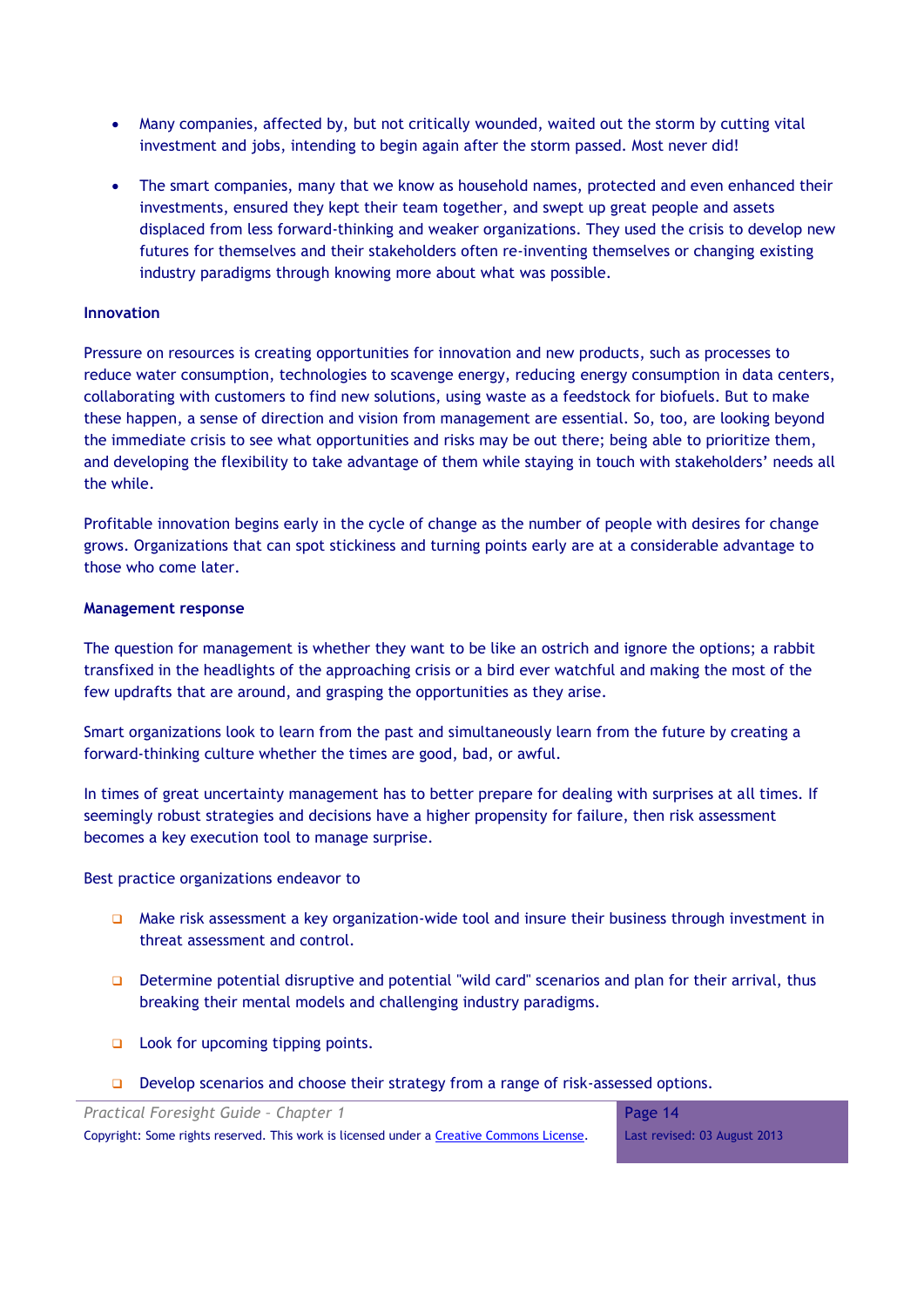- Many companies, affected by, but not critically wounded, waited out the storm by cutting vital investment and jobs, intending to begin again after the storm passed. Most never did!
- The smart companies, many that we know as household names, protected and even enhanced their investments, ensured they kept their team together, and swept up great people and assets displaced from less forward-thinking and weaker organizations. They used the crisis to develop new futures for themselves and their stakeholders often re-inventing themselves or changing existing industry paradigms through knowing more about what was possible.

#### **Innovation**

Pressure on resources is creating opportunities for innovation and new products, such as processes to reduce water consumption, technologies to scavenge energy, reducing energy consumption in data centers, collaborating with customers to find new solutions, using waste as a feedstock for biofuels. But to make these happen, a sense of direction and vision from management are essential. So, too, are looking beyond the immediate crisis to see what opportunities and risks may be out there; being able to prioritize them, and developing the flexibility to take advantage of them while staying in touch with stakeholders' needs all the while.

Profitable innovation begins early in the cycle of change as the number of people with desires for change grows. Organizations that can spot stickiness and turning points early are at a considerable advantage to those who come later.

#### **Management response**

The question for management is whether they want to be like an ostrich and ignore the options; a rabbit transfixed in the headlights of the approaching crisis or a bird ever watchful and making the most of the few updrafts that are around, and grasping the opportunities as they arise.

Smart organizations look to learn from the past and simultaneously learn from the future by creating a forward-thinking culture whether the times are good, bad, or awful.

In times of great uncertainty management has to better prepare for dealing with surprises at all times. If seemingly robust strategies and decisions have a higher propensity for failure, then risk assessment becomes a key execution tool to manage surprise.

Best practice organizations endeavor to

- $\Box$  Make risk assessment a key organization-wide tool and insure their business through investment in threat assessment and control.
- Determine potential disruptive and potential "wild card" scenarios and plan for their arrival, thus breaking their mental models and challenging industry paradigms.
- □ Look for upcoming tipping points.
- Develop scenarios and choose their strategy from a range of risk-assessed options.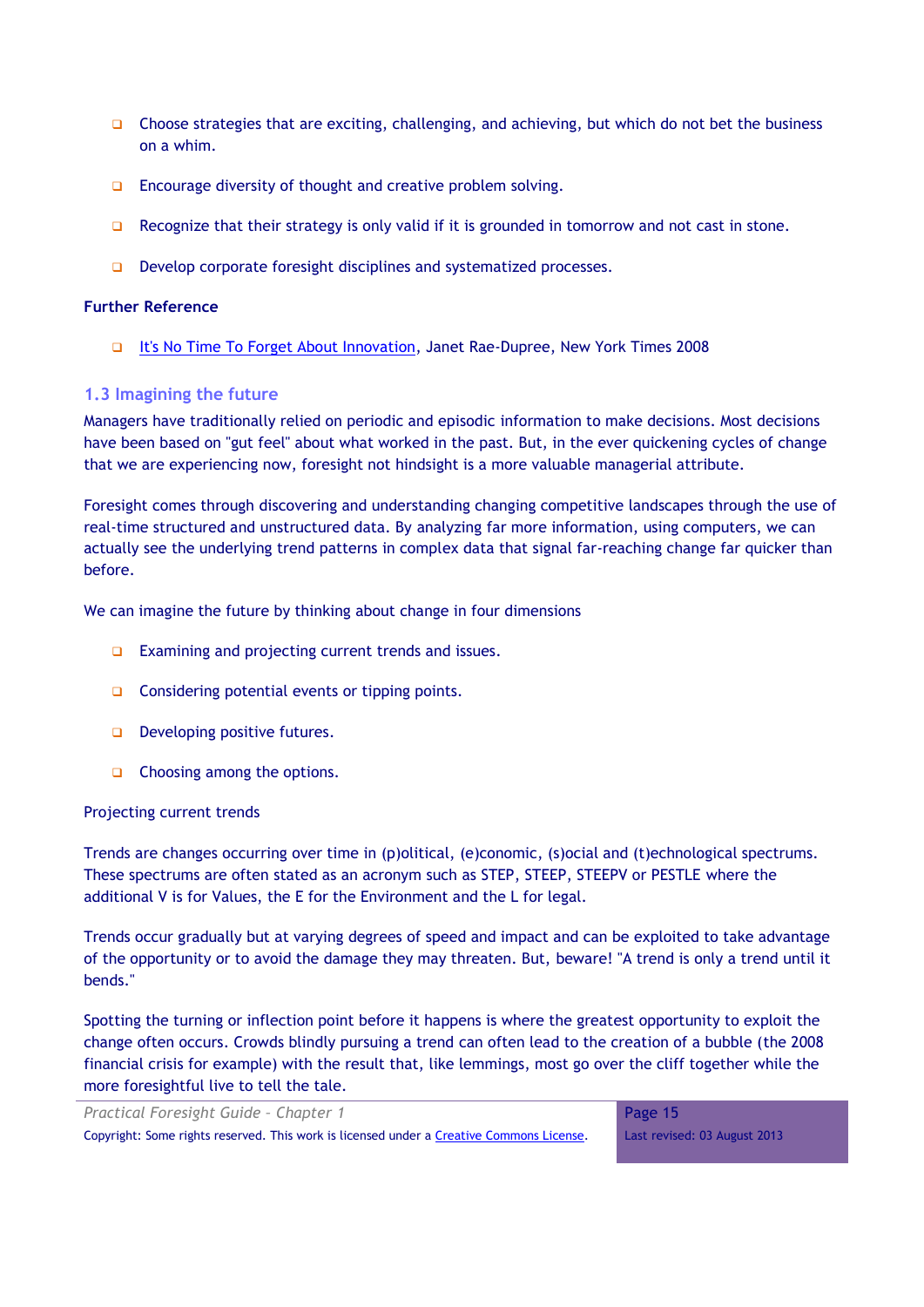- Choose strategies that are exciting, challenging, and achieving, but which do not bet the business on a whim.
- $\Box$  Encourage diversity of thought and creative problem solving.
- **Q** Recognize that their strategy is only valid if it is grounded in tomorrow and not cast in stone.
- Develop corporate foresight disciplines and systematized processes.

#### **Further Reference**

[It's No Time To Forget About Innovation,](http://www.iht.com/articles/2008/11/02/business/02unbox.php) Janet Rae-Dupree, New York Times 2008

### <span id="page-14-0"></span>**1.3 Imagining the future**

Managers have traditionally relied on periodic and episodic information to make decisions. Most decisions have been based on "gut feel" about what worked in the past. But, in the ever quickening cycles of change that we are experiencing now, foresight not hindsight is a more valuable managerial attribute.

Foresight comes through discovering and understanding changing competitive landscapes through the use of real-time structured and unstructured data. By analyzing far more information, using computers, we can actually see the underlying trend patterns in complex data that signal far-reaching change far quicker than before.

We can imagine the future by thinking about change in four dimensions

- □ Examining and projecting current trends and issues.
- Considering potential events or tipping points.
- Developing positive futures.
- Choosing among the options.

### Projecting current trends

Trends are changes occurring over time in (p)olitical, (e)conomic, (s)ocial and (t)echnological spectrums. These spectrums are often stated as an acronym such as STEP, STEEP, STEEPV or PESTLE where the additional V is for Values, the E for the Environment and the L for legal.

Trends occur gradually but at varying degrees of speed and impact and can be exploited to take advantage of the opportunity or to avoid the damage they may threaten. But, beware! "A trend is only a trend until it bends."

Spotting the turning or inflection point before it happens is where the greatest opportunity to exploit the change often occurs. Crowds blindly pursuing a trend can often lead to the creation of a bubble (the 2008 financial crisis for example) with the result that, like lemmings, most go over the cliff together while the more foresightful live to tell the tale.

| Practical Foresight Guide - Chapter 1                                                    | Page 15                      |
|------------------------------------------------------------------------------------------|------------------------------|
| Copyright: Some rights reserved. This work is licensed under a Creative Commons License. | Last revised: 03 August 2013 |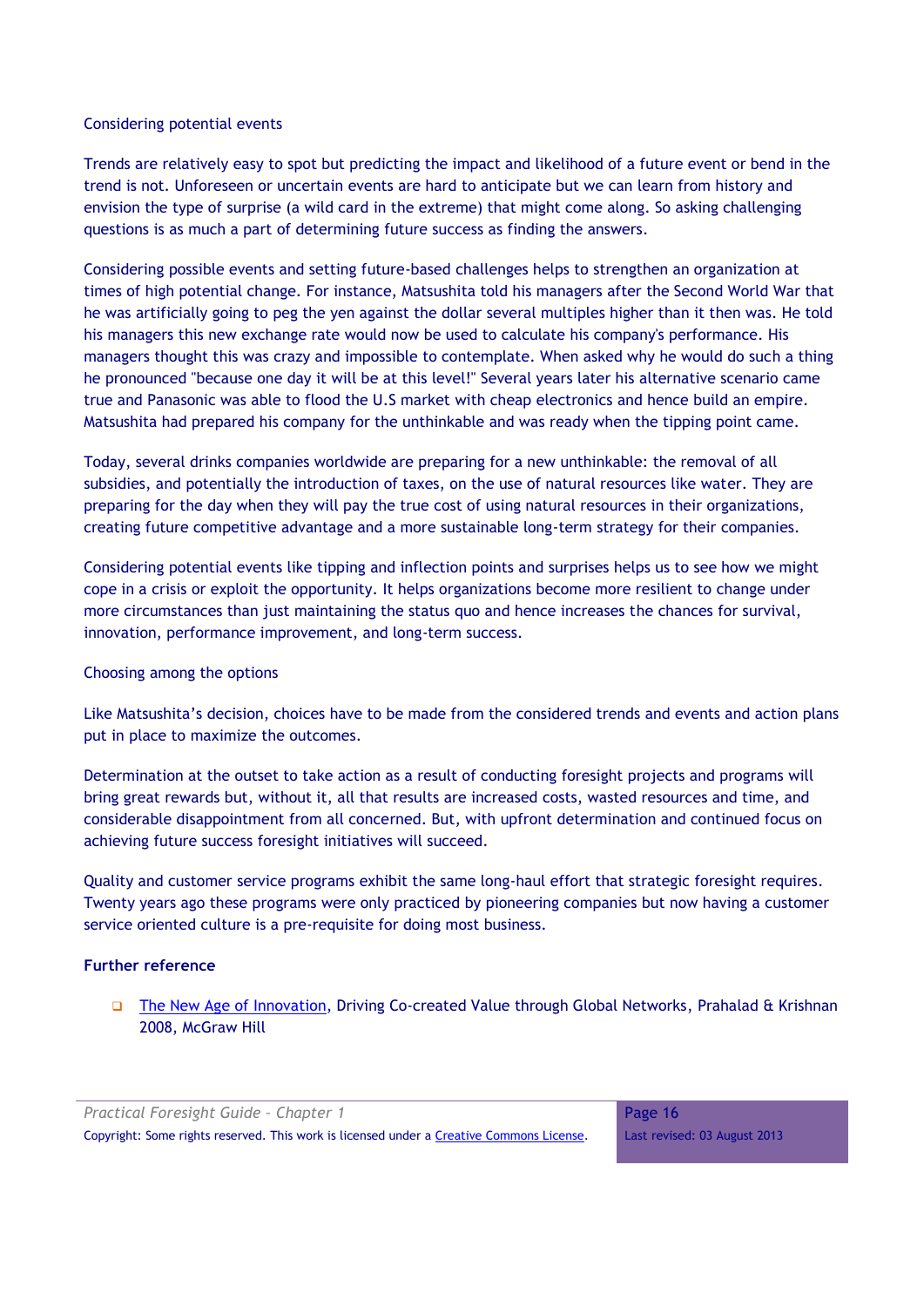### Considering potential events

Trends are relatively easy to spot but predicting the impact and likelihood of a future event or bend in the trend is not. Unforeseen or uncertain events are hard to anticipate but we can learn from history and envision the type of surprise (a wild card in the extreme) that might come along. So asking challenging questions is as much a part of determining future success as finding the answers.

Considering possible events and setting future-based challenges helps to strengthen an organization at times of high potential change. For instance, Matsushita told his managers after the Second World War that he was artificially going to peg the yen against the dollar several multiples higher than it then was. He told his managers this new exchange rate would now be used to calculate his company's performance. His managers thought this was crazy and impossible to contemplate. When asked why he would do such a thing he pronounced "because one day it will be at this level!" Several years later his alternative scenario came true and Panasonic was able to flood the U.S market with cheap electronics and hence build an empire. Matsushita had prepared his company for the unthinkable and was ready when the tipping point came.

Today, several drinks companies worldwide are preparing for a new unthinkable: the removal of all subsidies, and potentially the introduction of taxes, on the use of natural resources like water. They are preparing for the day when they will pay the true cost of using natural resources in their organizations, creating future competitive advantage and a more sustainable long-term strategy for their companies.

Considering potential events like tipping and inflection points and surprises helps us to see how we might cope in a crisis or exploit the opportunity. It helps organizations become more resilient to change under more circumstances than just maintaining the status quo and hence increases the chances for survival, innovation, performance improvement, and long-term success.

### Choosing among the options

Like Matsushita's decision, choices have to be made from the considered trends and events and action plans put in place to maximize the outcomes.

Determination at the outset to take action as a result of conducting foresight projects and programs will bring great rewards but, without it, all that results are increased costs, wasted resources and time, and considerable disappointment from all concerned. But, with upfront determination and continued focus on achieving future success foresight initiatives will succeed.

Quality and customer service programs exhibit the same long-haul effort that strategic foresight requires. Twenty years ago these programs were only practiced by pioneering companies but now having a customer service oriented culture is a pre-requisite for doing most business.

### **Further reference**

 [The New Age of Innovation,](http://www.amazon.com/New-Age-Innovation-Cocreated-Networks/dp/0071598286) Driving Co-created Value through Global Networks, Prahalad & Krishnan 2008, McGraw Hill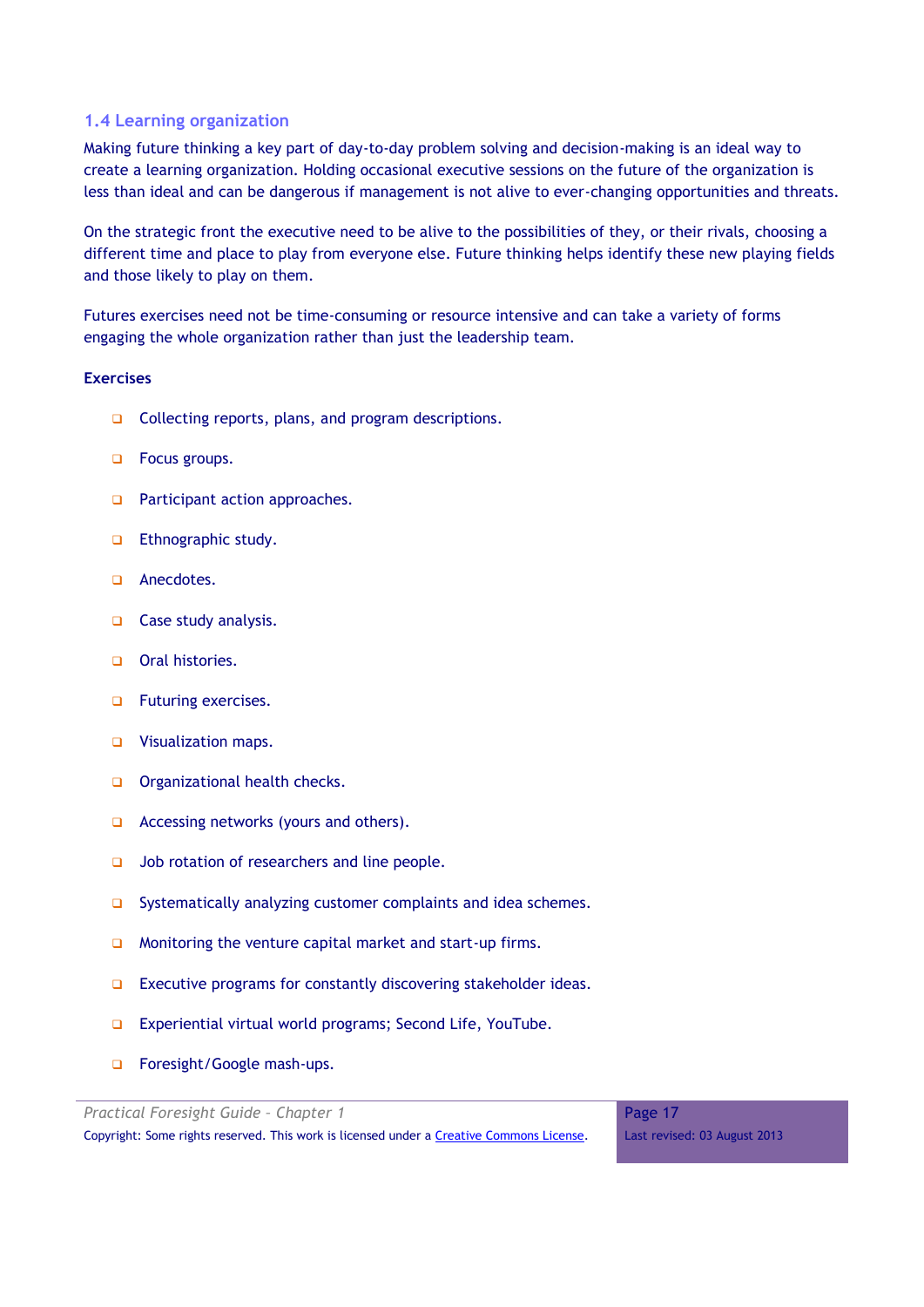# <span id="page-16-0"></span>**1.4 Learning organization**

Making future thinking a key part of day-to-day problem solving and decision-making is an ideal way to create a learning organization. Holding occasional executive sessions on the future of the organization is less than ideal and can be dangerous if management is not alive to ever-changing opportunities and threats.

On the strategic front the executive need to be alive to the possibilities of they, or their rivals, choosing a different time and place to play from everyone else. Future thinking helps identify these new playing fields and those likely to play on them.

Futures exercises need not be time-consuming or resource intensive and can take a variety of forms engaging the whole organization rather than just the leadership team.

### **Exercises**

- **Q** Collecting reports, plans, and program descriptions.
- □ Focus groups.
- **D** Participant action approaches.
- **Ethnographic study.**
- Anecdotes.
- Case study analysis.
- Oral histories.
- **D** Futuring exercises.
- Visualization maps.
- Organizational health checks.
- □ Accessing networks (yours and others).
- $\Box$  Job rotation of researchers and line people.
- $\Box$  Systematically analyzing customer complaints and idea schemes.
- **Q** Monitoring the venture capital market and start-up firms.
- Executive programs for constantly discovering stakeholder ideas.
- □ Experiential virtual world programs; Second Life, YouTube.
- □ Foresight/Google mash-ups.

*Practical Foresight Guide – Chapter 1* Copyright: Some rights reserved. This work is licensed under a Creative Commons License.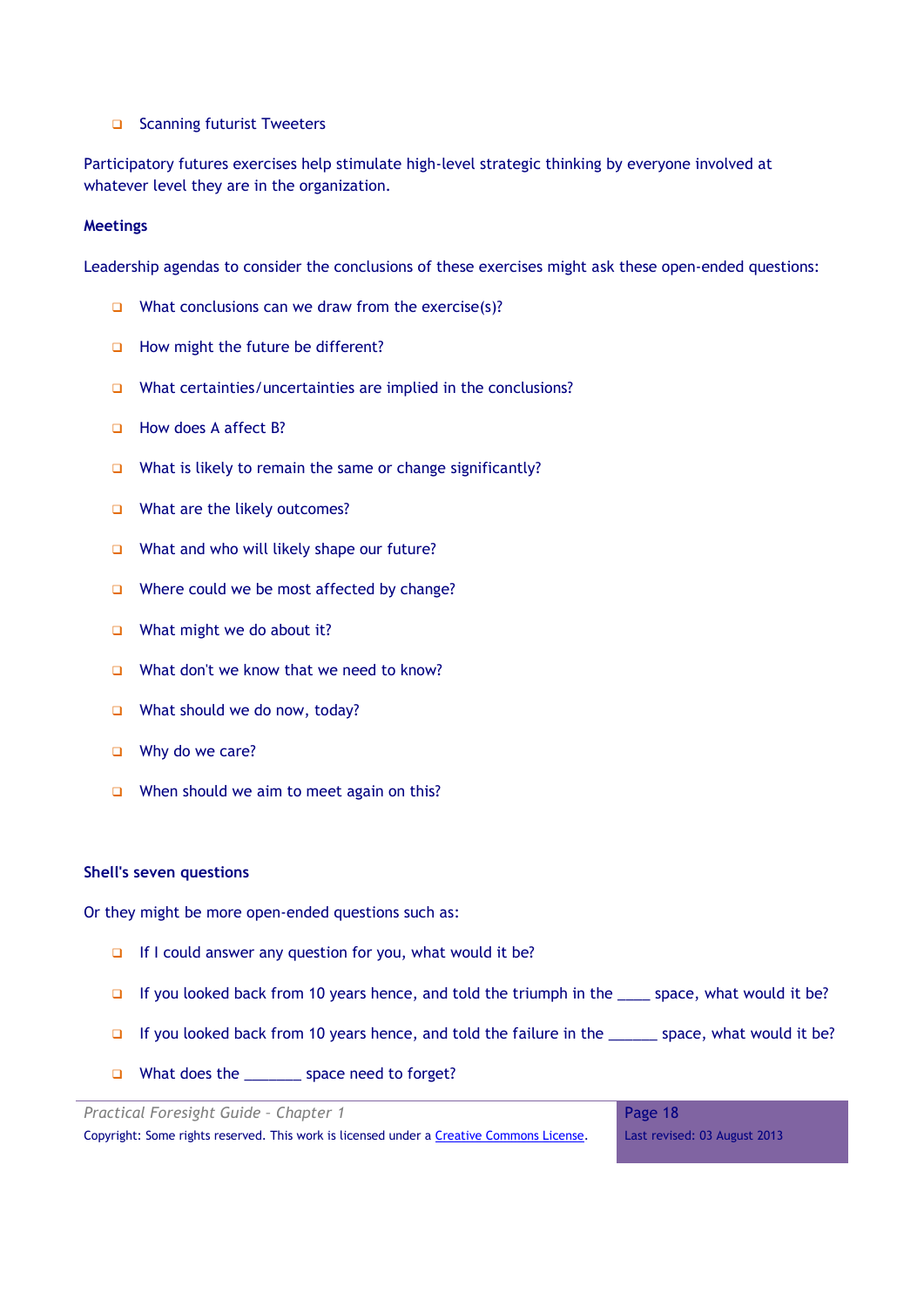#### □ Scanning futurist Tweeters

Participatory futures exercises help stimulate high-level strategic thinking by everyone involved at whatever level they are in the organization.

#### **Meetings**

Leadership agendas to consider the conclusions of these exercises might ask these open-ended questions:

- What conclusions can we draw from the exercise(s)?
- $\Box$  How might the future be different?
- What certainties/uncertainties are implied in the conclusions?
- □ How does A affect B?
- What is likely to remain the same or change significantly?
- $\Box$  What are the likely outcomes?
- $\Box$  What and who will likely shape our future?
- $\Box$  Where could we be most affected by change?
- $\Box$  What might we do about it?
- $\Box$  What don't we know that we need to know?
- $\Box$  What should we do now, today?
- □ Why do we care?
- When should we aim to meet again on this?

#### **Shell's seven questions**

Or they might be more open-ended questions such as:

- If I could answer any question for you, what would it be?
- If you looked back from 10 years hence, and told the triumph in the  $\Box$  space, what would it be?
- If you looked back from 10 years hence, and told the failure in the  $\Box$  space, what would it be?
- What does the \_\_\_\_\_\_\_ space need to forget?

*Practical Foresight Guide – Chapter 1* Copyright: Some rights reserved. This work is licensed under a Creative Commons License. Page 18 Last revised: 03 August 2013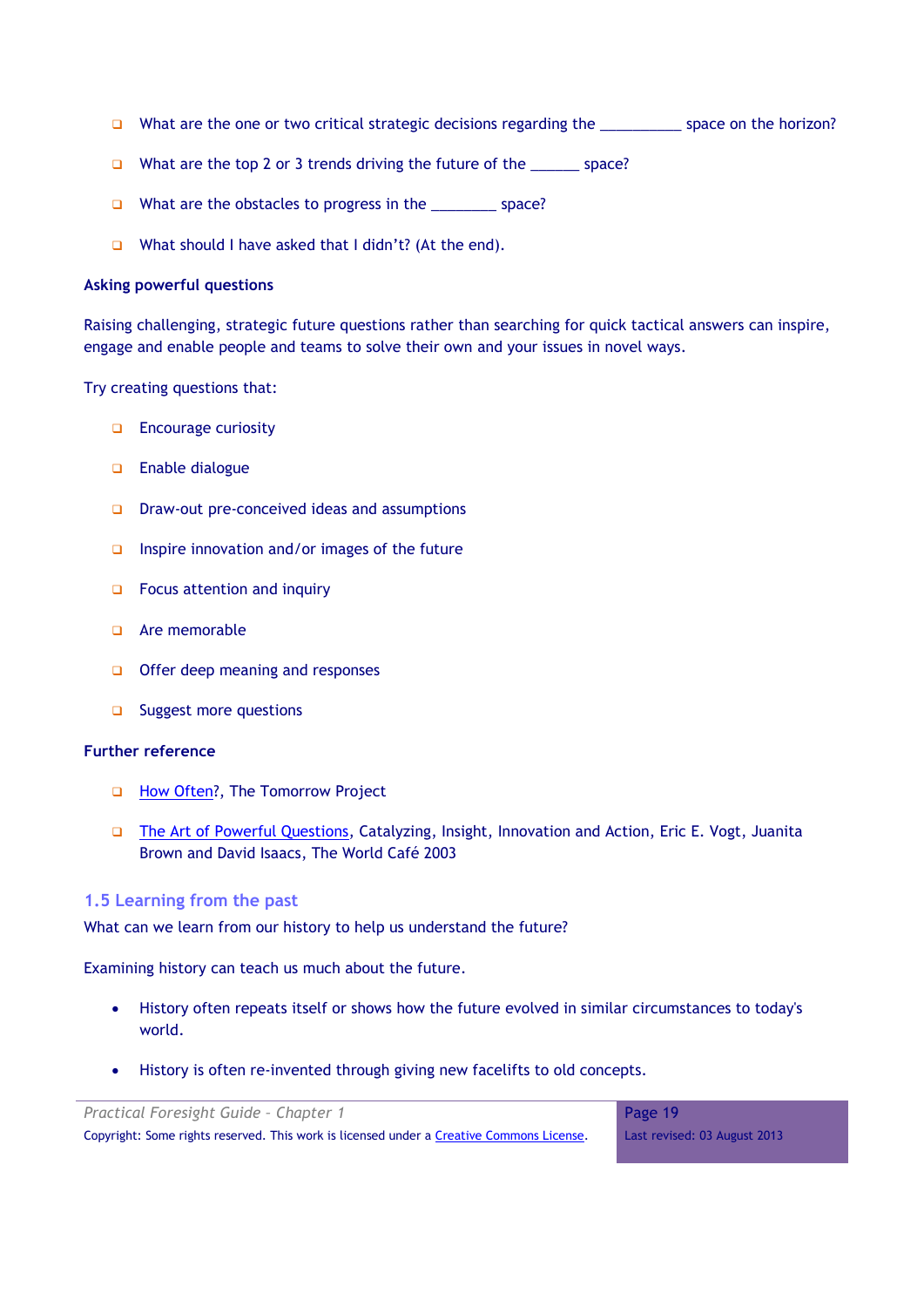- What are the one or two critical strategic decisions regarding the  $\Box$  space on the horizon?
- What are the top 2 or 3 trends driving the future of the \_\_\_\_\_\_ space?
- $\Box$  What are the obstacles to progress in the  $\Box$  space?
- What should I have asked that I didn't? (At the end).

#### **Asking powerful questions**

Raising challenging, strategic future questions rather than searching for quick tactical answers can inspire, engage and enable people and teams to solve their own and your issues in novel ways.

Try creating questions that:

- **Encourage curiosity**
- **Enable dialogue**
- $\Box$  Draw-out pre-conceived ideas and assumptions
- $\Box$  Inspire innovation and/or images of the future
- **D** Focus attention and inquiry
- Are memorable
- $\Box$  Offer deep meaning and responses
- □ Suggest more questions

#### **Further reference**

- □ [How Often?](http://www.tomorrowproject.net/index.shtml?page=futures), The Tomorrow Project
- [The Art of Powerful Questions,](http://www.theworldcafe.com/articles/aopq.pdf) Catalyzing, Insight, Innovation and Action, Eric E. Vogt, Juanita Brown and David Isaacs, The World Café 2003

#### <span id="page-18-0"></span>**1.5 Learning from the past**

What can we learn from our history to help us understand the future?

Examining history can teach us much about the future.

- History often repeats itself or shows how the future evolved in similar circumstances to today's world.
- History is often re-invented through giving new facelifts to old concepts.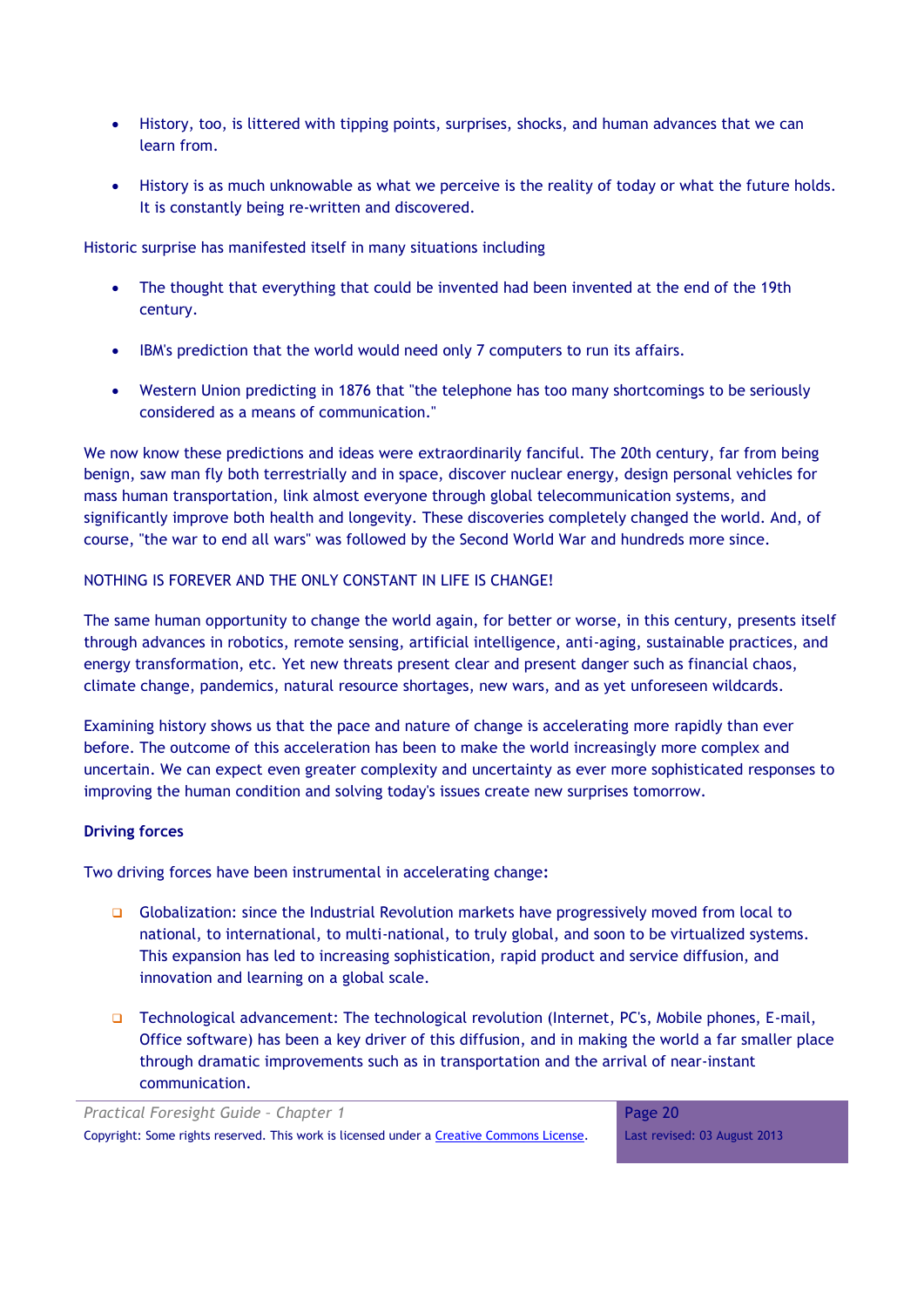- History, too, is littered with tipping points, surprises, shocks, and human advances that we can learn from.
- History is as much unknowable as what we perceive is the reality of today or what the future holds. It is constantly being re-written and discovered.

Historic surprise has manifested itself in many situations including

- The thought that everything that could be invented had been invented at the end of the 19th century.
- IBM's prediction that the world would need only 7 computers to run its affairs.
- Western Union predicting in 1876 that "the telephone has too many shortcomings to be seriously considered as a means of communication."

We now know these predictions and ideas were extraordinarily fanciful. The 20th century, far from being benign, saw man fly both terrestrially and in space, discover nuclear energy, design personal vehicles for mass human transportation, link almost everyone through global telecommunication systems, and significantly improve both health and longevity. These discoveries completely changed the world. And, of course, "the war to end all wars" was followed by the Second World War and hundreds more since.

### NOTHING IS FOREVER AND THE ONLY CONSTANT IN LIFE IS CHANGE!

The same human opportunity to change the world again, for better or worse, in this century, presents itself through advances in robotics, remote sensing, artificial intelligence, anti-aging, sustainable practices, and energy transformation, etc. Yet new threats present clear and present danger such as financial chaos, climate change, pandemics, natural resource shortages, new wars, and as yet unforeseen wildcards.

Examining history shows us that the pace and nature of change is accelerating more rapidly than ever before. The outcome of this acceleration has been to make the world increasingly more complex and uncertain. We can expect even greater complexity and uncertainty as ever more sophisticated responses to improving the human condition and solving today's issues create new surprises tomorrow.

### **Driving forces**

Two driving forces have been instrumental in accelerating change**:**

- Globalization: since the Industrial Revolution markets have progressively moved from local to national, to international, to multi-national, to truly global, and soon to be virtualized systems. This expansion has led to increasing sophistication, rapid product and service diffusion, and innovation and learning on a global scale.
- Technological advancement: The technological revolution (Internet, PC's, Mobile phones, E-mail, Office software) has been a key driver of this diffusion, and in making the world a far smaller place through dramatic improvements such as in transportation and the arrival of near-instant communication.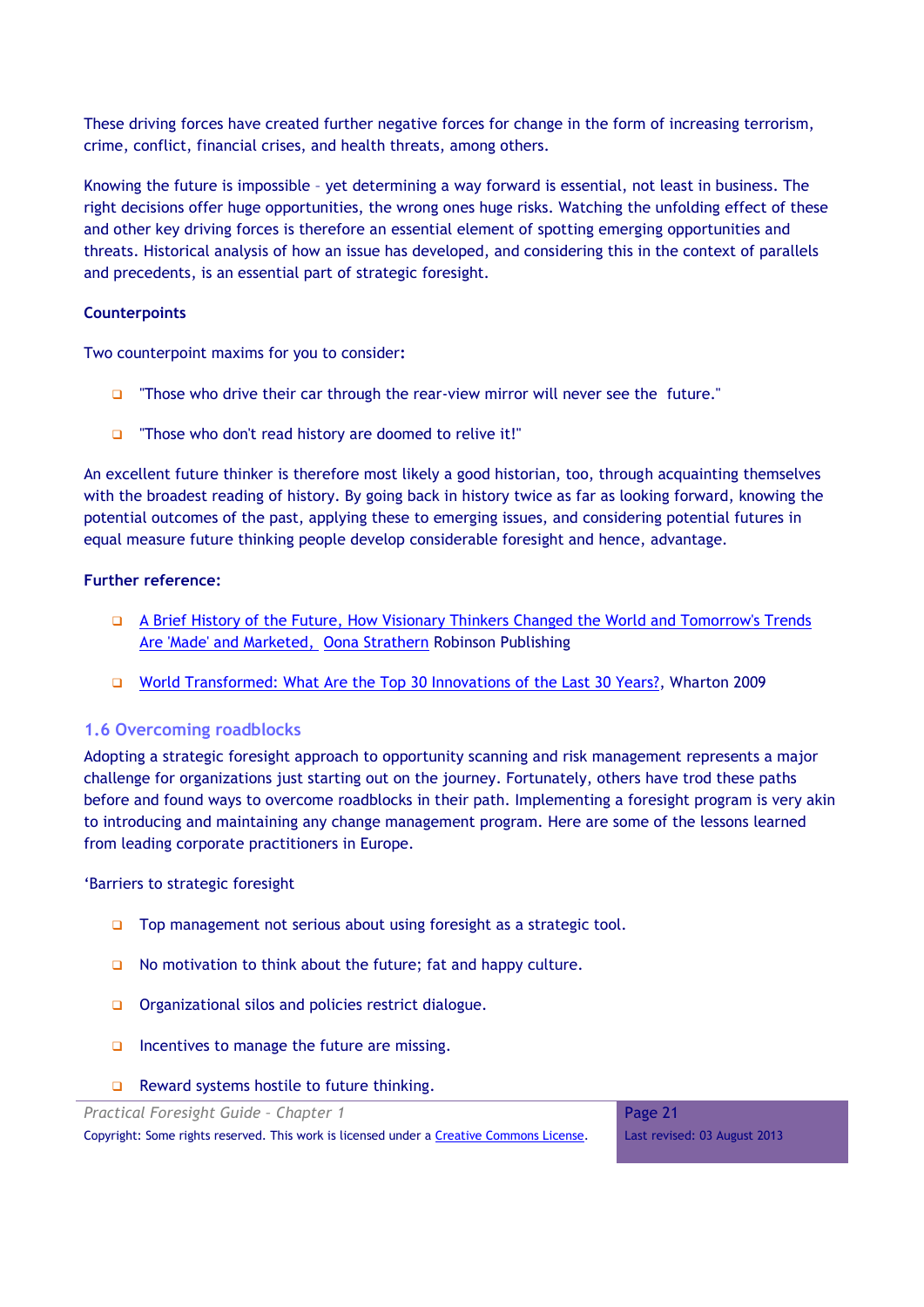These driving forces have created further negative forces for change in the form of increasing terrorism, crime, conflict, financial crises, and health threats, among others.

Knowing the future is impossible – yet determining a way forward is essential, not least in business. The right decisions offer huge opportunities, the wrong ones huge risks. Watching the unfolding effect of these and other key driving forces is therefore an essential element of spotting emerging opportunities and threats. Historical analysis of how an issue has developed, and considering this in the context of parallels and precedents, is an essential part of strategic foresight.

# **Counterpoints**

Two counterpoint maxims for you to consider**:**

- $\Box$  "Those who drive their car through the rear-view mirror will never see the future."
- □ "Those who don't read history are doomed to relive it!"

An excellent future thinker is therefore most likely a good historian, too, through acquainting themselves with the broadest reading of history. By going back in history twice as far as looking forward, knowing the potential outcomes of the past, applying these to emerging issues, and considering potential futures in equal measure future thinking people develop considerable foresight and hence, advantage.

### **Further reference:**

- [A Brief History of the Future, How Visionary Thinkers Changed the World and Tomorrow's Trends](http://www.amazon.co.uk/History-Visionary-Thinkers-Tomorrows-Marketed/dp/1845292189)  [Are 'Made' and Marketed,](http://www.amazon.co.uk/History-Visionary-Thinkers-Tomorrows-Marketed/dp/1845292189) [Oona Strathern](http://www.amazon.co.uk/s/ref=ntt_athr_dp_sr_1?_encoding=UTF8&search-alias=books-uk&field-author=Oona%20Strathern) Robinson Publishing
- World Transformed: [What Are the Top 30 Innovations of the Last 30 Years?,](http://knowledge.wharton.upenn.edu/article.cfm?articleid=2163) Wharton 2009

### <span id="page-20-0"></span>**1.6 Overcoming roadblocks**

Adopting a strategic foresight approach to opportunity scanning and risk management represents a major challenge for organizations just starting out on the journey. Fortunately, others have trod these paths before and found ways to overcome roadblocks in their path. Implementing a foresight program is very akin to introducing and maintaining any change management program. Here are some of the lessons learned from leading corporate practitioners in Europe.

'Barriers to strategic foresight

- $\Box$  Top management not serious about using foresight as a strategic tool.
- $\Box$  No motivation to think about the future; fat and happy culture.
- **Organizational silos and policies restrict dialogue.**
- $\Box$  Incentives to manage the future are missing.
- $\Box$  Reward systems hostile to future thinking.